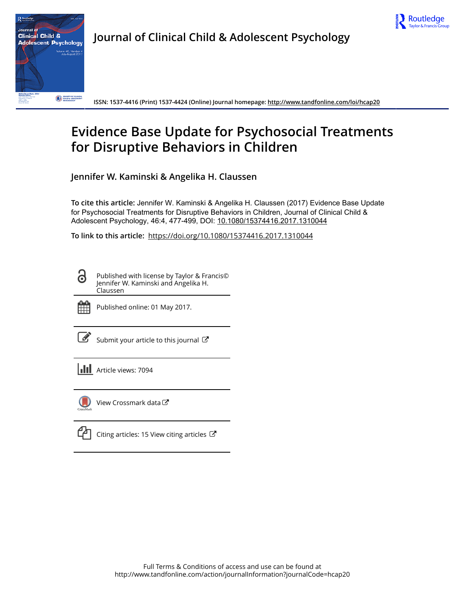



**Journal of Clinical Child & Adolescent Psychology**

**ISSN: 1537-4416 (Print) 1537-4424 (Online) Journal homepage:<http://www.tandfonline.com/loi/hcap20>**

# **Evidence Base Update for Psychosocial Treatments for Disruptive Behaviors in Children**

**Jennifer W. Kaminski & Angelika H. Claussen**

**To cite this article:** Jennifer W. Kaminski & Angelika H. Claussen (2017) Evidence Base Update for Psychosocial Treatments for Disruptive Behaviors in Children, Journal of Clinical Child & Adolescent Psychology, 46:4, 477-499, DOI: [10.1080/15374416.2017.1310044](http://www.tandfonline.com/action/showCitFormats?doi=10.1080/15374416.2017.1310044)

**To link to this article:** <https://doi.org/10.1080/15374416.2017.1310044>

Published with license by Taylor & Francis© Jennifer W. Kaminski and Angelika H. Claussen



 $\mathbf{a}$ 

Published online: 01 May 2017.

[Submit your article to this journal](http://www.tandfonline.com/action/authorSubmission?journalCode=hcap20&show=instructions)  $\mathbb{Z}$ 

**III** Article views: 7094



[View Crossmark data](http://crossmark.crossref.org/dialog/?doi=10.1080/15374416.2017.1310044&domain=pdf&date_stamp=2017-05-01)<sup>√</sup>

 $\mathbb{C}$  [Citing articles: 15 View citing articles](http://www.tandfonline.com/doi/citedby/10.1080/15374416.2017.1310044#tabModule)  $\mathbb{C}$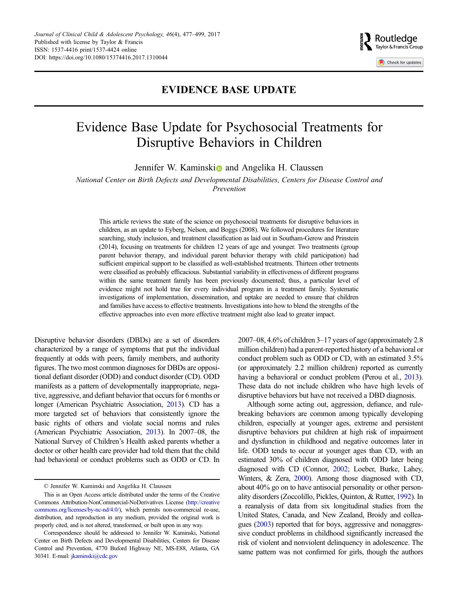

# EVIDENCE BASE UPDATE

# Evidence Base Update for Psychosocial Treatments for Disruptive Behaviors in Children

Jennifer W. Kaminski**n** and Angelika H. Claussen

National Center on Birth Defects and Developmental Disabilities, Centers for Disease Control and Prevention

This article reviews the state of the science on psychosocial treatments for disruptive behaviors in children, as an update to Eyberg, Nelson, and Boggs (2008). We followed procedures for literature searching, study inclusion, and treatment classification as laid out in Southam-Gerow and Prinstein (2014), focusing on treatments for children 12 years of age and younger. Two treatments (group parent behavior therapy, and individual parent behavior therapy with child participation) had sufficient empirical support to be classified as well-established treatments. Thirteen other tretments were classified as probably efficacious. Substantial variability in effectiveness of different programs within the same treatment family has been previously documented; thus, a particular level of evidence might not hold true for every individual program in a treatment family. Systematic investigations of implementation, dissemination, and uptake are needed to ensure that children and families have access to effective treatments. Investigations into how to blend the strengths of the effective approaches into even more effective treatment might also lead to greater impact.

Disruptive behavior disorders (DBDs) are a set of disorders characterized by a range of symptoms that put the individual frequently at odds with peers, family members, and authority figures. The two most common diagnoses for DBDs are oppositional defiant disorder (ODD) and conduct disorder (CD). ODD manifests as a pattern of developmentally inappropriate, negative, aggressive, and defiant behavior that occurs for 6 months or longer (American Psychiatric Association, [2013](#page-20-0)). CD has a more targeted set of behaviors that consistently ignore the basic rights of others and violate social norms and rules (American Psychiatric Association, [2013\)](#page-20-0). In 2007–08, the National Survey of Children's Health asked parents whether a doctor or other health care provider had told them that the child had behavioral or conduct problems such as ODD or CD. In

2007–08, 4.6% of children 3–17 years of age (approximately 2.8 million children) had a parent-reported history of a behavioral or conduct problem such as ODD or CD, with an estimated 3.5% (or approximately 2.2 million children) reported as currently having a behavioral or conduct problem (Perou et al., [2013](#page-22-0)). These data do not include children who have high levels of disruptive behaviors but have not received a DBD diagnosis.

Although some acting out, aggression, defiance, and rulebreaking behaviors are common among typically developing children, especially at younger ages, extreme and persistent disruptive behaviors put children at high risk of impairment and dysfunction in childhood and negative outcomes later in life. ODD tends to occur at younger ages than CD, with an estimated 30% of children diagnosed with ODD later being diagnosed with CD (Connor, [2002;](#page-21-0) Loeber, Burke, Lahey, Winters, & Zera, [2000\)](#page-22-0). Among those diagnosed with CD, about 40% go on to have antisocial personality or other personality disorders (Zoccolillo, Pickles, Quinton, & Rutter, [1992](#page-23-0)). In a reanalysis of data from six longitudinal studies from the United States, Canada, and New Zealand, Broidy and colleagues [\(2003\)](#page-21-0) reported that for boys, aggressive and nonaggressive conduct problems in childhood significantly increased the risk of violent and nonviolent delinquency in adolescence. The same pattern was not confirmed for girls, though the authors

<sup>©</sup> Jennifer W. Kaminski and Angelika H. Claussen

This is an Open Access article distributed under the terms of the Creative Commons Attribution-NonCommercial-NoDerivatives License ([http://creative](http://creativecommons.org/licenses/by-nc-nd/4.0/) [commons.org/licenses/by-nc-nd/4.0/](http://creativecommons.org/licenses/by-nc-nd/4.0/)), which permits non-commercial re-use, distribution, and reproduction in any medium, provided the original work is properly cited, and is not altered, transformed, or built upon in any way.

Correspondence should be addressed to Jennifer W. Kaminski, National Center on Birth Defects and Developmental Disabilities, Centers for Disease Control and Prevention, 4770 Buford Highway NE, MS-E88, Atlanta, GA 30341. E-mail: jkaminski@cdc.gov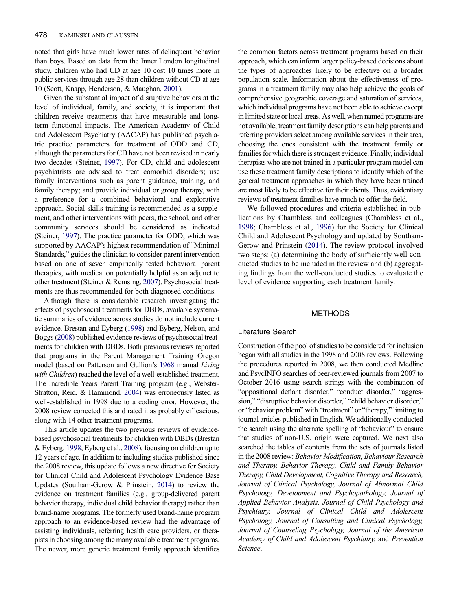noted that girls have much lower rates of delinquent behavior than boys. Based on data from the Inner London longitudinal study, children who had CD at age 10 cost 10 times more in public services through age 28 than children without CD at age 10 (Scott, Knapp, Henderson, & Maughan, [2001\)](#page-23-0).

Given the substantial impact of disruptive behaviors at the level of individual, family, and society, it is important that children receive treatments that have measurable and longterm functional impacts. The American Academy of Child and Adolescent Psychiatry (AACAP) has published psychiatric practice parameters for treatment of ODD and CD, although the parameters for CD have not been revised in nearly two decades (Steiner, [1997\)](#page-23-0). For CD, child and adolescent psychiatrists are advised to treat comorbid disorders; use family interventions such as parent guidance, training, and family therapy; and provide individual or group therapy, with a preference for a combined behavioral and explorative approach. Social skills training is recommended as a supplement, and other interventions with peers, the school, and other community services should be considered as indicated (Steiner, [1997\)](#page-23-0). The practice parameter for ODD, which was supported by AACAP's highest recommendation of "Minimal Standards," guides the clinician to consider parent intervention based on one of seven empirically tested behavioral parent therapies, with medication potentially helpful as an adjunct to other treatment (Steiner & Remsing, [2007\)](#page-23-0). Psychosocial treatments are thus recommended for both diagnosed conditions.

Although there is considerable research investigating the effects of psychosocial treatments for DBDs, available systematic summaries of evidence across studies do not include current evidence. Brestan and Eyberg [\(1998](#page-21-0)) and Eyberg, Nelson, and Boggs [\(2008\)](#page-21-0) published evidence reviews of psychosocial treatments for children with DBDs. Both previous reviews reported that programs in the Parent Management Training Oregon model (based on Patterson and Gullion's [1968](#page-22-0) manual Living with Children) reached the level of a well-established treatment. The Incredible Years Parent Training program (e.g., Webster-Stratton, Reid, & Hammond, [2004](#page-23-0)) was erroneously listed as well-established in 1998 due to a coding error. However, the 2008 review corrected this and rated it as probably efficacious, along with 14 other treatment programs.

This article updates the two previous reviews of evidencebased psychosocial treatments for children with DBDs (Brestan & Eyberg, [1998](#page-21-0); Eyberg et al., [2008\)](#page-21-0), focusing on children up to 12 years of age. In addition to including studies published since the 2008 review, this update follows a new directive for Society for Clinical Child and Adolescent Psychology Evidence Base Updates (Southam-Gerow & Prinstein, [2014\)](#page-23-0) to review the evidence on treatment families (e.g., group-delivered parent behavior therapy, individual child behavior therapy) rather than brand-name programs. The formerly used brand-name program approach to an evidence-based review had the advantage of assisting individuals, referring health care providers, or therapists in choosing among the many available treatment programs. The newer, more generic treatment family approach identifies

the common factors across treatment programs based on their approach, which can inform larger policy-based decisions about the types of approaches likely to be effective on a broader population scale. Information about the effectiveness of programs in a treatment family may also help achieve the goals of comprehensive geographic coverage and saturation of services, which individual programs have not been able to achieve except in limited state or local areas. As well, when named programs are not available, treatment family descriptions can help parents and referring providers select among available services in their area, choosing the ones consistent with the treatment family or families for which there is strongest evidence. Finally, individual therapists who are not trained in a particular program model can use these treatment family descriptions to identify which of the general treatment approaches in which they have been trained are most likely to be effective for their clients. Thus, evidentiary reviews of treatment families have much to offer the field.

We followed procedures and criteria established in publications by Chambless and colleagues (Chambless et al., [1998;](#page-21-0) Chambless et al., [1996\)](#page-21-0) for the Society for Clinical Child and Adolescent Psychology and updated by Southam-Gerow and Prinstein [\(2014](#page-23-0)). The review protocol involved two steps: (a) determining the body of sufficiently well-conducted studies to be included in the review and (b) aggregating findings from the well-conducted studies to evaluate the level of evidence supporting each treatment family.

# METHODS

## Literature Search

Construction of the pool of studies to be considered for inclusion began with all studies in the 1998 and 2008 reviews. Following the procedures reported in 2008, we then conducted Medline and PsycINFO searches of peer-reviewed journals from 2007 to October 2016 using search strings with the combination of "oppositional defiant disorder," "conduct disorder," "aggression," "disruptive behavior disorder," "child behavior disorder," or "behavior problem" with "treatment" or "therapy," limiting to journal articles published in English. We additionally conducted the search using the alternate spelling of "behaviour" to ensure that studies of non-U.S. origin were captured. We next also searched the tables of contents from the sets of journals listed in the 2008 review: Behavior Modification, Behaviour Research and Therapy, Behavior Therapy, Child and Family Behavior Therapy, Child Development, Cognitive Therapy and Research, Journal of Clinical Psychology, Journal of Abnormal Child Psychology, Development and Psychopathology, Journal of Applied Behavior Analysis, Journal of Child Psychology and Psychiatry, Journal of Clinical Child and Adolescent Psychology, Journal of Consulting and Clinical Psychology, Journal of Counseling Psychology, Journal of the American Academy of Child and Adolescent Psychiatry, and Prevention Science.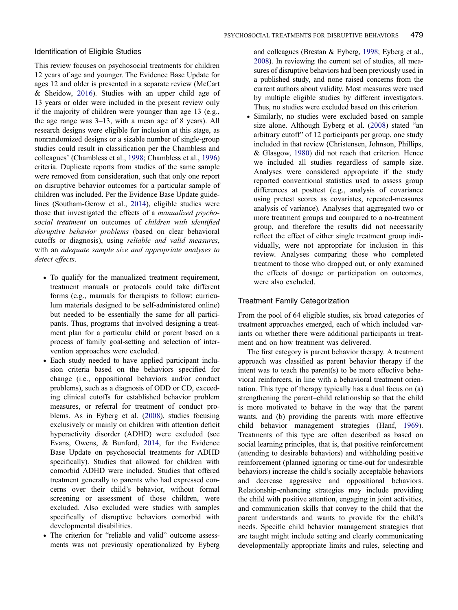#### Identification of Eligible Studies

This review focuses on psychosocial treatments for children 12 years of age and younger. The Evidence Base Update for ages 12 and older is presented in a separate review (McCart & Sheidow, [2016](#page-22-0)). Studies with an upper child age of 13 years or older were included in the present review only if the majority of children were younger than age 13 (e.g., the age range was 3–13, with a mean age of 8 years). All research designs were eligible for inclusion at this stage, as nonrandomized designs or a sizable number of single-group studies could result in classification per the Chambless and colleagues' (Chambless et al., [1998](#page-21-0); Chambless et al., [1996\)](#page-21-0) criteria. Duplicate reports from studies of the same sample were removed from consideration, such that only one report on disruptive behavior outcomes for a particular sample of children was included. Per the Evidence Base Update guidelines (Southam-Gerow et al., [2014](#page-23-0)), eligible studies were those that investigated the effects of a manualized psychosocial treatment on outcomes of children with identified disruptive behavior problems (based on clear behavioral cutoffs or diagnosis), using reliable and valid measures, with an adequate sample size and appropriate analyses to detect effects.

- To qualify for the manualized treatment requirement, treatment manuals or protocols could take different forms (e.g., manuals for therapists to follow; curriculum materials designed to be self-administered online) but needed to be essentially the same for all participants. Thus, programs that involved designing a treatment plan for a particular child or parent based on a process of family goal-setting and selection of intervention approaches were excluded.
- Each study needed to have applied participant inclusion criteria based on the behaviors specified for change (i.e., oppositional behaviors and/or conduct problems), such as a diagnosis of ODD or CD, exceeding clinical cutoffs for established behavior problem measures, or referral for treatment of conduct problems. As in Eyberg et al. ([2008\)](#page-21-0), studies focusing exclusively or mainly on children with attention deficit hyperactivity disorder (ADHD) were excluded (see Evans, Owens, & Bunford, [2014](#page-21-0), for the Evidence Base Update on psychosocial treatments for ADHD specifically). Studies that allowed for children with comorbid ADHD were included. Studies that offered treatment generally to parents who had expressed concerns over their child's behavior, without formal screening or assessment of those children, were excluded. Also excluded were studies with samples specifically of disruptive behaviors comorbid with developmental disabilities.
- The criterion for "reliable and valid" outcome assessments was not previously operationalized by Eyberg

and colleagues (Brestan & Eyberg, [1998](#page-21-0); Eyberg et al., [2008\)](#page-21-0). In reviewing the current set of studies, all measures of disruptive behaviors had been previously used in a published study, and none raised concerns from the current authors about validity. Most measures were used by multiple eligible studies by different investigators. Thus, no studies were excluded based on this criterion.

• Similarly, no studies were excluded based on sample size alone. Although Eyberg et al. [\(2008](#page-21-0)) stated "an arbitrary cutoff" of 12 participants per group, one study included in that review (Christensen, Johnson, Phillips, & Glasgow, [1980](#page-21-0)) did not reach that criterion. Hence we included all studies regardless of sample size. Analyses were considered appropriate if the study reported conventional statistics used to assess group differences at posttest (e.g., analysis of covariance using pretest scores as covariates, repeated-measures analysis of variance). Analyses that aggregated two or more treatment groups and compared to a no-treatment group, and therefore the results did not necessarily reflect the effect of either single treatment group individually, were not appropriate for inclusion in this review. Analyses comparing those who completed treatment to those who dropped out, or only examined the effects of dosage or participation on outcomes, were also excluded.

# Treatment Family Categorization

From the pool of 64 eligible studies, six broad categories of treatment approaches emerged, each of which included variants on whether there were additional participants in treatment and on how treatment was delivered.

The first category is parent behavior therapy. A treatment approach was classified as parent behavior therapy if the intent was to teach the parent(s) to be more effective behavioral reinforcers, in line with a behavioral treatment orientation. This type of therapy typically has a dual focus on (a) strengthening the parent–child relationship so that the child is more motivated to behave in the way that the parent wants, and (b) providing the parents with more effective child behavior management strategies (Hanf, [1969](#page-21-0)). Treatments of this type are often described as based on social learning principles, that is, that positive reinforcement (attending to desirable behaviors) and withholding positive reinforcement (planned ignoring or time-out for undesirable behaviors) increase the child's socially acceptable behaviors and decrease aggressive and oppositional behaviors. Relationship-enhancing strategies may include providing the child with positive attention, engaging in joint activities, and communication skills that convey to the child that the parent understands and wants to provide for the child's needs. Specific child behavior management strategies that are taught might include setting and clearly communicating developmentally appropriate limits and rules, selecting and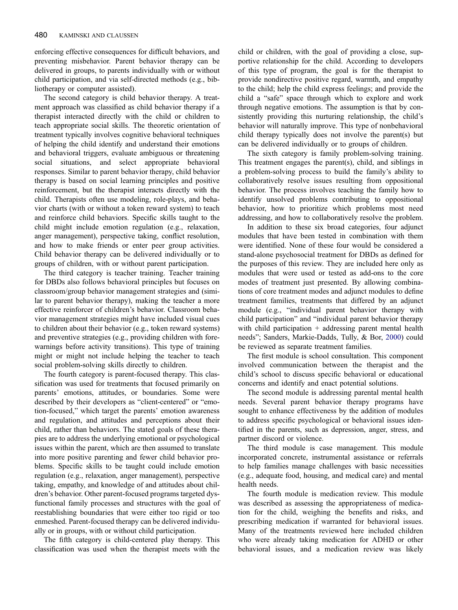enforcing effective consequences for difficult behaviors, and preventing misbehavior. Parent behavior therapy can be delivered in groups, to parents individually with or without child participation, and via self-directed methods (e.g., bibliotherapy or computer assisted).

The second category is child behavior therapy. A treatment approach was classified as child behavior therapy if a therapist interacted directly with the child or children to teach appropriate social skills. The theoretic orientation of treatment typically involves cognitive behavioral techniques of helping the child identify and understand their emotions and behavioral triggers, evaluate ambiguous or threatening social situations, and select appropriate behavioral responses. Similar to parent behavior therapy, child behavior therapy is based on social learning principles and positive reinforcement, but the therapist interacts directly with the child. Therapists often use modeling, role-plays, and behavior charts (with or without a token reward system) to teach and reinforce child behaviors. Specific skills taught to the child might include emotion regulation (e.g., relaxation, anger management), perspective taking, conflict resolution, and how to make friends or enter peer group activities. Child behavior therapy can be delivered individually or to groups of children, with or without parent participation.

The third category is teacher training. Teacher training for DBDs also follows behavioral principles but focuses on classroom/group behavior management strategies and (similar to parent behavior therapy), making the teacher a more effective reinforcer of children's behavior. Classroom behavior management strategies might have included visual cues to children about their behavior (e.g., token reward systems) and preventive strategies (e.g., providing children with forewarnings before activity transitions). This type of training might or might not include helping the teacher to teach social problem-solving skills directly to children.

The fourth category is parent-focused therapy. This classification was used for treatments that focused primarily on parents' emotions, attitudes, or boundaries. Some were described by their developers as "client-centered" or "emotion-focused," which target the parents' emotion awareness and regulation, and attitudes and perceptions about their child, rather than behaviors. The stated goals of these therapies are to address the underlying emotional or psychological issues within the parent, which are then assumed to translate into more positive parenting and fewer child behavior problems. Specific skills to be taught could include emotion regulation (e.g., relaxation, anger management), perspective taking, empathy, and knowledge of and attitudes about children's behavior. Other parent-focused programs targeted dysfunctional family processes and structures with the goal of reestablishing boundaries that were either too rigid or too enmeshed. Parent-focused therapy can be delivered individually or in groups, with or without child participation.

The fifth category is child-centered play therapy. This classification was used when the therapist meets with the child or children, with the goal of providing a close, supportive relationship for the child. According to developers of this type of program, the goal is for the therapist to provide nondirective positive regard, warmth, and empathy to the child; help the child express feelings; and provide the child a "safe" space through which to explore and work through negative emotions. The assumption is that by consistently providing this nurturing relationship, the child's behavior will naturally improve. This type of nonbehavioral child therapy typically does not involve the parent(s) but can be delivered individually or to groups of children.

The sixth category is family problem-solving training. This treatment engages the parent(s), child, and siblings in a problem-solving process to build the family's ability to collaboratively resolve issues resulting from oppositional behavior. The process involves teaching the family how to identify unsolved problems contributing to oppositional behavior, how to prioritize which problems most need addressing, and how to collaboratively resolve the problem.

In addition to these six broad categories, four adjunct modules that have been tested in combination with them were identified. None of these four would be considered a stand-alone psychosocial treatment for DBDs as defined for the purposes of this review. They are included here only as modules that were used or tested as add-ons to the core modes of treatment just presented. By allowing combinations of core treatment modes and adjunct modules to define treatment families, treatments that differed by an adjunct module (e.g., "individual parent behavior therapy with child participation" and "individual parent behavior therapy with child participation  $+$  addressing parent mental health needs"; Sanders, Markie-Dadds, Tully, & Bor, [2000](#page-22-0)) could be reviewed as separate treatment families.

The first module is school consultation. This component involved communication between the therapist and the child's school to discuss specific behavioral or educational concerns and identify and enact potential solutions.

The second module is addressing parental mental health needs. Several parent behavior therapy programs have sought to enhance effectiveness by the addition of modules to address specific psychological or behavioral issues identified in the parents, such as depression, anger, stress, and partner discord or violence.

The third module is case management. This module incorporated concrete, instrumental assistance or referrals to help families manage challenges with basic necessities (e.g., adequate food, housing, and medical care) and mental health needs.

The fourth module is medication review. This module was described as assessing the appropriateness of medication for the child, weighing the benefits and risks, and prescribing medication if warranted for behavioral issues. Many of the treatments reviewed here included children who were already taking medication for ADHD or other behavioral issues, and a medication review was likely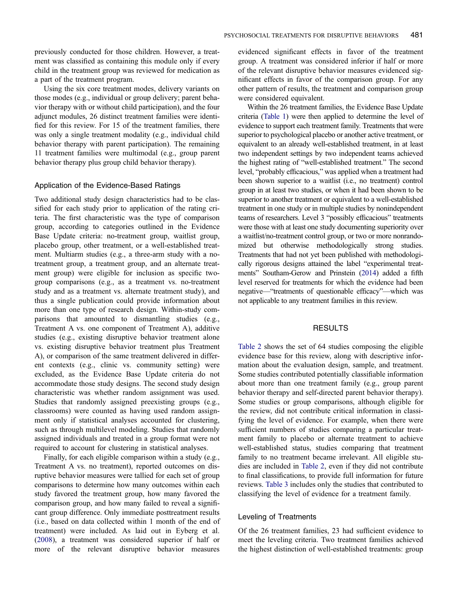previously conducted for those children. However, a treatment was classified as containing this module only if every child in the treatment group was reviewed for medication as a part of the treatment program.

Using the six core treatment modes, delivery variants on those modes (e.g., individual or group delivery; parent behavior therapy with or without child participation), and the four adjunct modules, 26 distinct treatment families were identified for this review. For 15 of the treatment families, there was only a single treatment modality (e.g., individual child behavior therapy with parent participation). The remaining 11 treatment families were multimodal (e.g., group parent behavior therapy plus group child behavior therapy).

# Application of the Evidence-Based Ratings

Two additional study design characteristics had to be classified for each study prior to application of the rating criteria. The first characteristic was the type of comparison group, according to categories outlined in the Evidence Base Update criteria: no-treatment group, waitlist group, placebo group, other treatment, or a well-established treatment. Multiarm studies (e.g., a three-arm study with a notreatment group, a treatment group, and an alternate treatment group) were eligible for inclusion as specific twogroup comparisons (e.g., as a treatment vs. no-treatment study and as a treatment vs. alternate treatment study), and thus a single publication could provide information about more than one type of research design. Within-study comparisons that amounted to dismantling studies (e.g., Treatment A vs. one component of Treatment A), additive studies (e.g., existing disruptive behavior treatment alone vs. existing disruptive behavior treatment plus Treatment A), or comparison of the same treatment delivered in different contexts (e.g., clinic vs. community setting) were excluded, as the Evidence Base Update criteria do not accommodate those study designs. The second study design characteristic was whether random assignment was used. Studies that randomly assigned preexisting groups (e.g., classrooms) were counted as having used random assignment only if statistical analyses accounted for clustering, such as through multilevel modeling. Studies that randomly assigned individuals and treated in a group format were not required to account for clustering in statistical analyses.

Finally, for each eligible comparison within a study (e.g., Treatment A vs. no treatment), reported outcomes on disruptive behavior measures were tallied for each set of group comparisons to determine how many outcomes within each study favored the treatment group, how many favored the comparison group, and how many failed to reveal a significant group difference. Only immediate posttreatment results (i.e., based on data collected within 1 month of the end of treatment) were included. As laid out in Eyberg et al. [\(2008](#page-21-0)), a treatment was considered superior if half or more of the relevant disruptive behavior measures

evidenced significant effects in favor of the treatment group. A treatment was considered inferior if half or more of the relevant disruptive behavior measures evidenced significant effects in favor of the comparison group. For any other pattern of results, the treatment and comparison group were considered equivalent.

Within the 26 treatment families, the Evidence Base Update criteria ([Table 1](#page-6-0)) were then applied to determine the level of evidence to support each treatment family. Treatments that were superior to psychological placebo or another active treatment, or equivalent to an already well-established treatment, in at least two independent settings by two independent teams achieved the highest rating of "well-established treatment." The second level, "probably efficacious," was applied when a treatment had been shown superior to a waitlist (i.e., no treatment) control group in at least two studies, or when it had been shown to be superior to another treatment or equivalent to a well-established treatment in one study or in multiple studies by nonindependent teams of researchers. Level 3 "possibly efficacious" treatments were those with at least one study documenting superiority over a waitlist/no-treatment control group, or two or more nonrandomized but otherwise methodologically strong studies. Treatments that had not yet been published with methodologically rigorous designs attained the label "experimental treatments" Southam-Gerow and Prinstein ([2014\)](#page-23-0) added a fifth level reserved for treatments for which the evidence had been negative—"treatments of questionable efficacy"—which was not applicable to any treatment families in this review.

# RESULTS

[Table 2](#page-7-0) shows the set of 64 studies composing the eligible evidence base for this review, along with descriptive information about the evaluation design, sample, and treatment. Some studies contributed potentially classifiable information about more than one treatment family (e.g., group parent behavior therapy and self-directed parent behavior therapy). Some studies or group comparisons, although eligible for the review, did not contribute critical information in classifying the level of evidence. For example, when there were sufficient numbers of studies comparing a particular treatment family to placebo or alternate treatment to achieve well-established status, studies comparing that treatment family to no treatment became irrelevant. All eligible studies are included in [Table 2,](#page-7-0) even if they did not contribute to final classifications, to provide full information for future reviews. [Table 3](#page-13-0) includes only the studies that contributed to classifying the level of evidence for a treatment family.

# Leveling of Treatments

Of the 26 treatment families, 23 had sufficient evidence to meet the leveling criteria. Two treatment families achieved the highest distinction of well-established treatments: group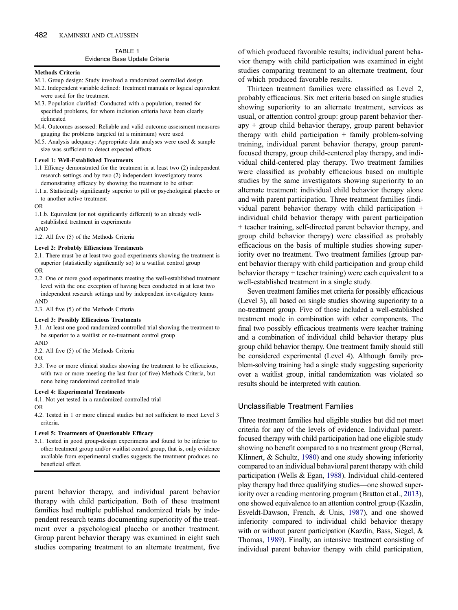# TABLE 1 Evidence Base Update Criteria

#### <span id="page-6-0"></span>Methods Criteria

- M.1. Group design: Study involved a randomized controlled design
- M.2. Independent variable defined: Treatment manuals or logical equivalent were used for the treatment
- M.3. Population clarified: Conducted with a population, treated for specified problems, for whom inclusion criteria have been clearly delineated
- M.4. Outcomes assessed: Reliable and valid outcome assessment measures gauging the problems targeted (at a minimum) were used
- M.5. Analysis adequacy: Appropriate data analyses were used & sample size was sufficient to detect expected effects

#### Level 1: Well-Established Treatments

- 1.1 Efficacy demonstrated for the treatment in at least two (2) independent research settings and by two (2) independent investigatory teams demonstrating efficacy by showing the treatment to be either:
- 1.1.a. Statistically significantly superior to pill or psychological placebo or to another active treatment

OR

1.1.b. Equivalent (or not significantly different) to an already wellestablished treatment in experiments

AND

1.2. All five (5) of the Methods Criteria

#### Level 2: Probably Efficacious Treatments

- 2.1. There must be at least two good experiments showing the treatment is superior (statistically significantly so) to a waitlist control group
- OR
- 2.2. One or more good experiments meeting the well-established treatment level with the one exception of having been conducted in at least two independent research settings and by independent investigatory teams AND

2.3. All five (5) of the Methods Criteria

#### Level 3: Possibly Efficacious Treatments

3.1. At least one good randomized controlled trial showing the treatment to be superior to a waitlist or no-treatment control group

AND

3.2. All five (5) of the Methods Criteria

OR

3.3. Two or more clinical studies showing the treatment to be efficacious, with two or more meeting the last four (of five) Methods Criteria, but none being randomized controlled trials

#### Level 4: Experimental Treatments

4.1. Not yet tested in a randomized controlled trial

OR

4.2. Tested in 1 or more clinical studies but not sufficient to meet Level 3 criteria.

#### Level 5: Treatments of Questionable Efficacy

5.1. Tested in good group-design experiments and found to be inferior to other treatment group and/or waitlist control group, that is, only evidence available from experimental studies suggests the treatment produces no beneficial effect.

parent behavior therapy, and individual parent behavior therapy with child participation. Both of these treatment families had multiple published randomized trials by independent research teams documenting superiority of the treatment over a psychological placebo or another treatment. Group parent behavior therapy was examined in eight such studies comparing treatment to an alternate treatment, five of which produced favorable results; individual parent behavior therapy with child participation was examined in eight studies comparing treatment to an alternate treatment, four of which produced favorable results.

Thirteen treatment families were classified as Level 2, probably efficacious. Six met criteria based on single studies showing superiority to an alternate treatment, services as usual, or attention control group: group parent behavior therapy + group child behavior therapy, group parent behavior therapy with child participation + family problem-solving training, individual parent behavior therapy, group parentfocused therapy, group child-centered play therapy, and individual child-centered play therapy. Two treatment families were classified as probably efficacious based on multiple studies by the same investigators showing superiority to an alternate treatment: individual child behavior therapy alone and with parent participation. Three treatment families (individual parent behavior therapy with child participation + individual child behavior therapy with parent participation + teacher training, self-directed parent behavior therapy, and group child behavior therapy) were classified as probably efficacious on the basis of multiple studies showing superiority over no treatment. Two treatment families (group parent behavior therapy with child participation and group child behavior therapy + teacher training) were each equivalent to a well-established treatment in a single study.

Seven treatment families met criteria for possibly efficacious (Level 3), all based on single studies showing superiority to a no-treatment group. Five of those included a well-established treatment mode in combination with other components. The final two possibly efficacious treatments were teacher training and a combination of individual child behavior therapy plus group child behavior therapy. One treatment family should still be considered experimental (Level 4). Although family problem-solving training had a single study suggesting superiority over a waitlist group, initial randomization was violated so results should be interpreted with caution.

#### Unclassifiable Treatment Families

Three treatment families had eligible studies but did not meet criteria for any of the levels of evidence. Individual parentfocused therapy with child participation had one eligible study showing no benefit compared to a no treatment group (Bernal, Klinnert, & Schultz, [1980](#page-21-0)) and one study showing inferiority compared to an individual behavioral parent therapy with child participation (Wells & Egan, [1988](#page-23-0)). Individual child-centered play therapy had three qualifying studies—one showed superiority over a reading mentoring program (Bratton et al., [2013](#page-21-0)), one showed equivalence to an attention control group (Kazdin, Esveldt-Dawson, French, & Unis, [1987](#page-22-0)), and one showed inferiority compared to individual child behavior therapy with or without parent participation (Kazdin, Bass, Siegel, & Thomas, [1989\)](#page-21-0). Finally, an intensive treatment consisting of individual parent behavior therapy with child participation,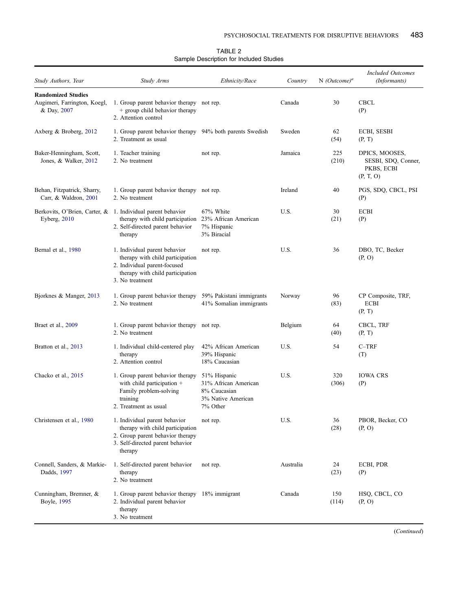| TABLE 2                                 |
|-----------------------------------------|
| Sample Description for Included Studies |

<span id="page-7-0"></span>

| Study Authors, Year                                                         | Study Arms                                                                                                                                               | Ethnicity/Race                                                                         | Country   | N $(Outcome)^a$ | <b>Included Outcomes</b><br>(Informants)                         |
|-----------------------------------------------------------------------------|----------------------------------------------------------------------------------------------------------------------------------------------------------|----------------------------------------------------------------------------------------|-----------|-----------------|------------------------------------------------------------------|
| <b>Randomized Studies</b><br>Augimeri, Farrington, Koegl,<br>& Day, 2007    | 1. Group parent behavior therapy not rep.<br>+ group child behavior therapy<br>2. Attention control                                                      |                                                                                        | Canada    | 30              | <b>CBCL</b><br>(P)                                               |
| Axberg & Broberg, 2012                                                      | 1. Group parent behavior therapy 94% both parents Swedish<br>2. Treatment as usual                                                                       |                                                                                        | Sweden    | 62<br>(54)      | ECBI, SESBI<br>(P, T)                                            |
| Baker-Henningham, Scott,<br>Jones, & Walker, 2012                           | 1. Teacher training<br>2. No treatment                                                                                                                   | not rep.                                                                               | Jamaica   | 225<br>(210)    | DPICS, MOOSES,<br>SESBI, SDQ, Conner,<br>PKBS, ECBI<br>(P, T, O) |
| Behan, Fitzpatrick, Sharry,<br>Carr, & Waldron, 2001                        | 1. Group parent behavior therapy not rep.<br>2. No treatment                                                                                             |                                                                                        | Ireland   | 40              | PGS, SDQ, CBCL, PSI<br>(P)                                       |
| Berkovits, O'Brien, Carter, & 1. Individual parent behavior<br>Eyberg, 2010 | therapy with child participation 23% African American<br>2. Self-directed parent behavior<br>therapy                                                     | 67% White<br>7% Hispanic<br>3% Biracial                                                | U.S.      | 30<br>(21)      | <b>ECBI</b><br>(P)                                               |
| Bernal et al., 1980                                                         | 1. Individual parent behavior<br>therapy with child participation<br>2. Individual parent-focused<br>therapy with child participation<br>3. No treatment | not rep.                                                                               | U.S.      | 36              | DBO, TC, Becker<br>(P, O)                                        |
| Bjorknes & Manger, 2013                                                     | 1. Group parent behavior therapy<br>2. No treatment                                                                                                      | 59% Pakistani immigrants<br>41% Somalian immigrants                                    | Norway    | 96<br>(83)      | CP Composite, TRF,<br>ECBI<br>(P, T)                             |
| Braet et al., 2009                                                          | 1. Group parent behavior therapy not rep.<br>2. No treatment                                                                                             |                                                                                        | Belgium   | 64<br>(40)      | CBCL, TRF<br>(P, T)                                              |
| Bratton et al., 2013                                                        | 1. Individual child-centered play<br>therapy<br>2. Attention control                                                                                     | 42% African American<br>39% Hispanic<br>18% Caucasian                                  | U.S.      | 54              | $C-TRF$<br>(T)                                                   |
| Chacko et al., 2015                                                         | 1. Group parent behavior therapy<br>with child participation +<br>Family problem-solving<br>training<br>2. Treatment as usual                            | 51% Hispanic<br>31% African American<br>8% Caucasian<br>3% Native American<br>7% Other | U.S.      | 320<br>(306)    | <b>IOWA CRS</b><br>(P)                                           |
| Christensen et al., 1980                                                    | 1. Individual parent behavior<br>therapy with child participation<br>2. Group parent behavior therapy<br>3. Self-directed parent behavior<br>therapy     | not rep.                                                                               | U.S.      | 36<br>(28)      | PBOR, Becker, CO<br>(P, O)                                       |
| Connell, Sanders, & Markie-<br>Dadds, 1997                                  | 1. Self-directed parent behavior<br>therapy<br>2. No treatment                                                                                           | not rep.                                                                               | Australia | 24<br>(23)      | ECBI, PDR<br>(P)                                                 |
| Cunningham, Bremner, &<br>Boyle, 1995                                       | 1. Group parent behavior therapy 18% immigrant<br>2. Individual parent behavior<br>therapy<br>3. No treatment                                            |                                                                                        | Canada    | 150<br>(114)    | HSQ, CBCL, CO<br>(P, O)                                          |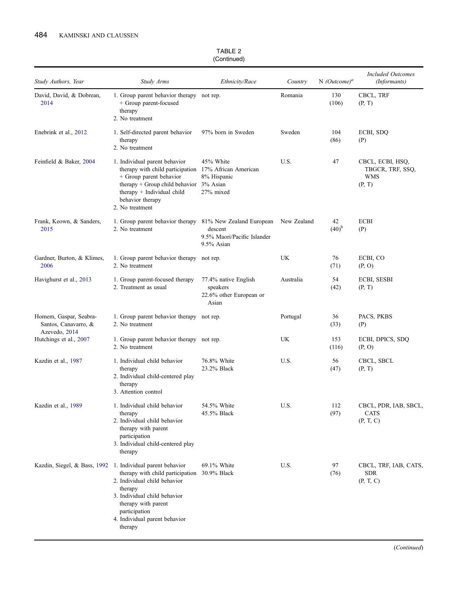| TABLE 2     |
|-------------|
| (Continued) |

| Study Authors, Year                                             | Study Arms                                                                                                                                                                                                                          | Ethnicity/Race                                                       | Country     | N (Outcome) <sup>a</sup> | <b>Included Outcomes</b><br>(Informants)                     |
|-----------------------------------------------------------------|-------------------------------------------------------------------------------------------------------------------------------------------------------------------------------------------------------------------------------------|----------------------------------------------------------------------|-------------|--------------------------|--------------------------------------------------------------|
| David, David, & Dobrean,<br>2014                                | 1. Group parent behavior therapy not rep.<br>+ Group parent-focused<br>therapy<br>2. No treatment                                                                                                                                   |                                                                      | Romania     | 130<br>(106)             | CBCL, TRF<br>(P, T)                                          |
| Enebrink et al., 2012                                           | 1. Self-directed parent behavior<br>therapy<br>2. No treatment                                                                                                                                                                      | 97% born in Sweden                                                   | Sweden      | 104<br>(86)              | ECBI, SDQ<br>(P)                                             |
| Feinfield & Baker, 2004                                         | 1. Individual parent behavior<br>therapy with child participation 17% African American<br>+ Group parent behavior<br>therapy + Group child behavior 3% Asian<br>therapy $+$ Individual child<br>behavior therapy<br>2. No treatment | 45% White<br>8% Hispanic<br>27% mixed                                | U.S.        | 47                       | CBCL, ECBI, HSQ,<br>TBGCR, TRF, SSQ,<br><b>WMS</b><br>(P, T) |
| Frank, Keown, & Sanders,<br>2015                                | 1. Group parent behavior therapy 81% New Zealand European<br>2. No treatment                                                                                                                                                        | descent<br>9.5% Maori/Pacific Islander<br>9.5% Asian                 | New Zealand | 42<br>$(40)^{b}$         | <b>ECBI</b><br>(P)                                           |
| Gardner, Burton, & Klimes,<br>2006                              | 1. Group parent behavior therapy<br>2. No treatment                                                                                                                                                                                 | not rep.                                                             | UK          | 76<br>(71)               | ECBI, CO<br>(P, O)                                           |
| Havighurst et al., 2013                                         | 1. Group parent-focused therapy<br>2. Treatment as usual                                                                                                                                                                            | 77.4% native English<br>speakers<br>22.6% other European or<br>Asian | Australia   | 54<br>(42)               | ECBI, SESBI<br>(P, T)                                        |
| Homem, Gaspar, Seabra-<br>Santos, Canavarro, &<br>Azevedo, 2014 | 1. Group parent behavior therapy not rep.<br>2. No treatment                                                                                                                                                                        |                                                                      | Portugal    | 36<br>(33)               | PACS, PKBS<br>(P)                                            |
| Hutchings et al., 2007                                          | 1. Group parent behavior therapy not rep.<br>2. No treatment                                                                                                                                                                        |                                                                      | UK          | 153<br>(116)             | ECBI, DPICS, SDQ<br>(P, O)                                   |
| Kazdin et al., 1987                                             | 1. Individual child behavior<br>therapy<br>2. Individual child-centered play<br>therapy<br>3. Attention control                                                                                                                     | 76.8% White<br>23.2% Black                                           | U.S.        | 56<br>(47)               | CBCL, SBCL<br>(P, T)                                         |
| Kazdin et al., 1989                                             | 1. Individual child behavior<br>therapy<br>2. Individual child behavior<br>therapy with parent<br>participation<br>3. Individual child-centered play<br>therapy                                                                     | 54.5% White<br>45.5% Black                                           | U.S.        | 112<br>(97)              | CBCL, PDR, IAB, SBCL,<br>CATS<br>(P, T, C)                   |
| Kazdin, Siegel, & Bass, 1992 1. Individual parent behavior      | therapy with child participation 30.9% Black<br>2. Individual child behavior<br>therapy<br>3. Individual child behavior<br>therapy with parent<br>participation<br>4. Individual parent behavior<br>therapy                         | 69.1% White                                                          | U.S.        | 97<br>(76)               | CBCL, TRF, IAB, CATS,<br><b>SDR</b><br>(P, T, C)             |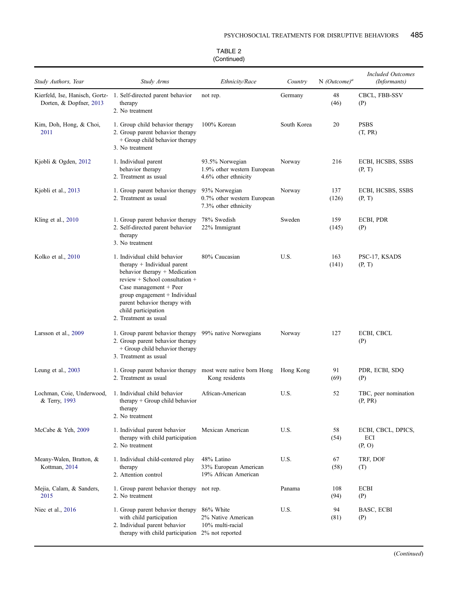| TABLE 2     |
|-------------|
| (Continued) |

| Study Authors, Year                                       | Study Arms                                                                                                                                                                                                                                                                  | <i>Ethnicity/Race</i>                                                  | Country     | N (Outcome) <sup>a</sup> | <b>Included Outcomes</b><br>(Informants) |
|-----------------------------------------------------------|-----------------------------------------------------------------------------------------------------------------------------------------------------------------------------------------------------------------------------------------------------------------------------|------------------------------------------------------------------------|-------------|--------------------------|------------------------------------------|
| Kierfeld, Ise, Hanisch, Gortz-<br>Dorten, & Dopfner, 2013 | 1. Self-directed parent behavior<br>therapy<br>2. No treatment                                                                                                                                                                                                              | not rep.                                                               | Germany     | 48<br>(46)               | CBCL, FBB-SSV<br>(P)                     |
| Kim, Doh, Hong, & Choi,<br>2011                           | 1. Group child behavior therapy<br>2. Group parent behavior therapy<br>+ Group child behavior therapy<br>3. No treatment                                                                                                                                                    | 100% Korean                                                            | South Korea | 20                       | <b>PSBS</b><br>(T, PR)                   |
| Kjobli & Ogden, 2012                                      | 1. Individual parent<br>behavior therapy<br>2. Treatment as usual                                                                                                                                                                                                           | 93.5% Norwegian<br>1.9% other western European<br>4.6% other ethnicity | Norway      | 216                      | ECBI, HCSBS, SSBS<br>(P, T)              |
| Kjobli et al., 2013                                       | 1. Group parent behavior therapy<br>2. Treatment as usual                                                                                                                                                                                                                   | 93% Norwegian<br>0.7% other western European<br>7.3% other ethnicity   | Norway      | 137<br>(126)             | ECBI, HCSBS, SSBS<br>(P, T)              |
| Kling et al., $2010$                                      | 1. Group parent behavior therapy<br>2. Self-directed parent behavior<br>therapy<br>3. No treatment                                                                                                                                                                          | 78% Swedish<br>22% Immigrant                                           | Sweden      | 159<br>(145)             | ECBI, PDR<br>(P)                         |
| Kolko et al., 2010                                        | 1. Individual child behavior<br>therapy $+$ Individual parent<br>behavior therapy + Medication<br>review + School consultation +<br>Case management + Peer<br>group engagement + Individual<br>parent behavior therapy with<br>child participation<br>2. Treatment as usual | 80% Caucasian                                                          | U.S.        | 163<br>(141)             | PSC-17, KSADS<br>(P, T)                  |
| Larsson et al., 2009                                      | 1. Group parent behavior therapy 99% native Norwegians<br>2. Group parent behavior therapy<br>+ Group child behavior therapy<br>3. Treatment as usual                                                                                                                       |                                                                        | Norway      | 127                      | ECBI, CBCL<br>(P)                        |
| Leung et al., 2003                                        | 1. Group parent behavior therapy most were native born Hong<br>2. Treatment as usual                                                                                                                                                                                        | Kong residents                                                         | Hong Kong   | 91<br>(69)               | PDR, ECBI, SDQ<br>(P)                    |
| Lochman, Coie, Underwood,<br>& Terry, 1993                | 1. Individual child behavior<br>therapy $+$ Group child behavior<br>therapy<br>2. No treatment                                                                                                                                                                              | African-American                                                       | U.S.        | 52                       | TBC, peer nomination<br>(P, PR)          |
| McCabe & Yeh, 2009                                        | 1. Individual parent behavior<br>therapy with child participation<br>2. No treatment                                                                                                                                                                                        | Mexican American                                                       | U.S.        | 58<br>(54)               | ECBI, CBCL, DPICS,<br>ECI<br>(P, O)      |
| Meany-Walen, Bratton, &<br>Kottman, 2014                  | 1. Individual child-centered play<br>therapy<br>2. Attention control                                                                                                                                                                                                        | 48% Latino<br>33% European American<br>19% African American            | U.S.        | 67<br>(58)               | TRF, DOF<br>(T)                          |
| Mejia, Calam, & Sanders,<br>2015                          | 1. Group parent behavior therapy not rep.<br>2. No treatment                                                                                                                                                                                                                |                                                                        | Panama      | 108<br>(94)              | ECBI<br>(P)                              |
| Niec et al., 2016                                         | 1. Group parent behavior therapy<br>with child participation<br>2. Individual parent behavior<br>therapy with child participation 2% not reported                                                                                                                           | 86% White<br>2% Native American<br>10% multi-racial                    | U.S.        | 94<br>(81)               | BASC, ECBI<br>(P)                        |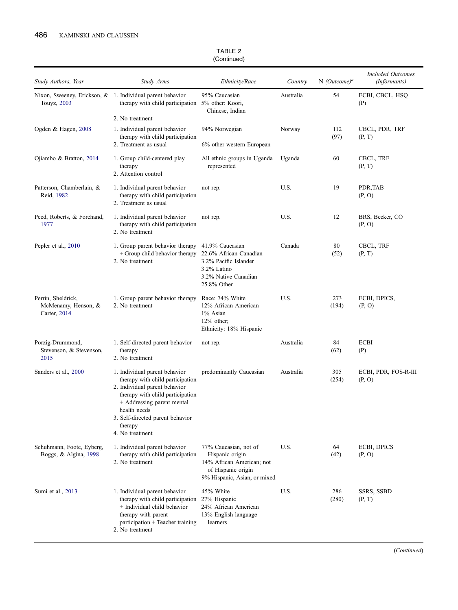# TABLE 2 (Continued)

| Study Authors, Year                                       | Study Arms                                                                                                                                                                                                                                             | Ethnicity/Race                                                                                                              | Country   | N (Outcome) <sup>a</sup> | <b>Included Outcomes</b><br>(Informants) |
|-----------------------------------------------------------|--------------------------------------------------------------------------------------------------------------------------------------------------------------------------------------------------------------------------------------------------------|-----------------------------------------------------------------------------------------------------------------------------|-----------|--------------------------|------------------------------------------|
| Touyz, 2003                                               | Nixon, Sweeney, Erickson, & 1. Individual parent behavior<br>therapy with child participation 5% other: Koori,                                                                                                                                         | 95% Caucasian<br>Chinese, Indian                                                                                            | Australia | 54                       | ECBI, CBCL, HSQ<br>(P)                   |
|                                                           | 2. No treatment                                                                                                                                                                                                                                        |                                                                                                                             |           |                          |                                          |
| Ogden & Hagen, 2008                                       | 1. Individual parent behavior<br>therapy with child participation<br>2. Treatment as usual                                                                                                                                                             | 94% Norwegian<br>6% other western European                                                                                  | Norway    | 112<br>(97)              | CBCL, PDR, TRF<br>(P, T)                 |
| Ojiambo & Bratton, 2014                                   | 1. Group child-centered play<br>therapy<br>2. Attention control                                                                                                                                                                                        | All ethnic groups in Uganda<br>represented                                                                                  | Uganda    | 60                       | CBCL, TRF<br>(P, T)                      |
| Patterson, Chamberlain, &<br>Reid, 1982                   | 1. Individual parent behavior<br>therapy with child participation<br>2. Treatment as usual                                                                                                                                                             | not rep.                                                                                                                    | U.S.      | 19                       | PDR, TAB<br>(P, O)                       |
| Peed, Roberts, & Forehand,<br>1977                        | 1. Individual parent behavior<br>therapy with child participation<br>2. No treatment                                                                                                                                                                   | not rep.                                                                                                                    | U.S.      | 12                       | BRS, Becker, CO<br>(P, O)                |
| Pepler et al., 2010                                       | 1. Group parent behavior therapy<br>+ Group child behavior therapy<br>2. No treatment                                                                                                                                                                  | 41.9% Caucasian<br>22.6% African Canadian<br>3.2% Pacific Islander<br>3.2% Latino<br>3.2% Native Canadian<br>25.8% Other    | Canada    | 80<br>(52)               | CBCL, TRF<br>(P, T)                      |
| Perrin, Sheldrick,<br>McMenamy, Henson, &<br>Carter, 2014 | 1. Group parent behavior therapy<br>2. No treatment                                                                                                                                                                                                    | Race: 74% White<br>12% African American<br>1% Asian<br>$12\%$ other;<br>Ethnicity: 18% Hispanic                             | U.S.      | 273<br>(194)             | ECBI, DPICS,<br>(P, O)                   |
| Porzig-Drummond,<br>Stevenson, & Stevenson,<br>2015       | 1. Self-directed parent behavior<br>therapy<br>2. No treatment                                                                                                                                                                                         | not rep.                                                                                                                    | Australia | 84<br>(62)               | <b>ECBI</b><br>(P)                       |
| Sanders et al., 2000                                      | 1. Individual parent behavior<br>therapy with child participation<br>2. Individual parent behavior<br>therapy with child participation<br>+ Addressing parent mental<br>health needs<br>3. Self-directed parent behavior<br>therapy<br>4. No treatment | predominantly Caucasian                                                                                                     | Australia | 305<br>(254)             | ECBI, PDR, FOS-R-III<br>(P, O)           |
| Schuhmann, Foote, Eyberg,<br>Boggs, & Algina, 1998        | 1. Individual parent behavior<br>therapy with child participation<br>2. No treatment                                                                                                                                                                   | 77% Caucasian, not of<br>Hispanic origin<br>14% African American; not<br>of Hispanic origin<br>9% Hispanic, Asian, or mixed | U.S.      | 64<br>(42)               | ECBI, DPICS<br>(P, O)                    |
| Sumi et al., 2013                                         | 1. Individual parent behavior<br>therapy with child participation<br>+ Individual child behavior<br>therapy with parent<br>participation + Teacher training<br>2. No treatment                                                                         | 45% White<br>27% Hispanic<br>24% African American<br>13% English language<br>learners                                       | U.S.      | 286<br>(280)             | SSRS, SSBD<br>(P, T)                     |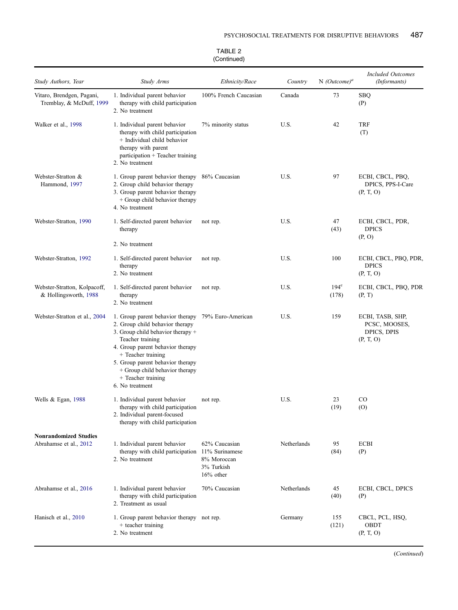| TABLE 2     |
|-------------|
| (Continued) |

| Study Authors, Year                                    | Study Arms                                                                                                                                                                                                                                                                                                                | Ethnicity/Race                                                               | Country     | N (Outcome) <sup>a</sup>  | <b>Included Outcomes</b><br>(Informants)                      |
|--------------------------------------------------------|---------------------------------------------------------------------------------------------------------------------------------------------------------------------------------------------------------------------------------------------------------------------------------------------------------------------------|------------------------------------------------------------------------------|-------------|---------------------------|---------------------------------------------------------------|
| Vitaro, Brendgen, Pagani,<br>Tremblay, & McDuff, 1999  | 1. Individual parent behavior<br>therapy with child participation<br>2. No treatment                                                                                                                                                                                                                                      | 100% French Caucasian                                                        | Canada      | 73                        | <b>SBQ</b><br>(P)                                             |
| Walker et al., 1998                                    | 1. Individual parent behavior<br>therapy with child participation<br>+ Individual child behavior<br>therapy with parent<br>participation + Teacher training<br>2. No treatment                                                                                                                                            | 7% minority status                                                           | U.S.        | 42                        | <b>TRF</b><br>(T)                                             |
| Webster-Stratton &<br>Hammond, 1997                    | 1. Group parent behavior therapy 86% Caucasian<br>2. Group child behavior therapy<br>3. Group parent behavior therapy<br>+ Group child behavior therapy<br>4. No treatment                                                                                                                                                |                                                                              | U.S.        | 97                        | ECBI, CBCL, PBQ,<br>DPICS, PPS-I-Care<br>(P, T, O)            |
| Webster-Stratton, 1990                                 | 1. Self-directed parent behavior<br>therapy<br>2. No treatment                                                                                                                                                                                                                                                            | not rep.                                                                     | U.S.        | 47<br>(43)                | ECBI, CBCL, PDR,<br><b>DPICS</b><br>(P, O)                    |
| Webster-Stratton, 1992                                 | 1. Self-directed parent behavior<br>therapy<br>2. No treatment                                                                                                                                                                                                                                                            | not rep.                                                                     | U.S.        | 100                       | ECBI, CBCL, PBQ, PDR,<br><b>DPICS</b><br>(P, T, O)            |
| Webster-Stratton, Kolpacoff,<br>& Hollingsworth, 1988  | 1. Self-directed parent behavior<br>therapy<br>2. No treatment                                                                                                                                                                                                                                                            | not rep.                                                                     | U.S.        | 194 <sup>c</sup><br>(178) | ECBI, CBCL, PBQ, PDR<br>(P, T)                                |
| Webster-Stratton et al., 2004                          | 1. Group parent behavior therapy 79% Euro-American<br>2. Group child behavior therapy<br>3. Group child behavior therapy $+$<br>Teacher training<br>4. Group parent behavior therapy<br>+ Teacher training<br>5. Group parent behavior therapy<br>+ Group child behavior therapy<br>+ Teacher training<br>6. No treatment |                                                                              | U.S.        | 159                       | ECBI, TASB, SHP,<br>PCSC, MOOSES,<br>DPICS, DPIS<br>(P, T, O) |
| Wells & Egan, 1988                                     | 1. Individual parent behavior<br>therapy with child participation<br>2. Individual parent-focused<br>therapy with child participation                                                                                                                                                                                     | not rep.                                                                     | U.S.        | 23<br>(19)                | $_{\rm CO}$<br>(0)                                            |
| <b>Nonrandomized Studies</b><br>Abrahamse et al., 2012 | 1. Individual parent behavior<br>therapy with child participation<br>2. No treatment                                                                                                                                                                                                                                      | 62% Caucasian<br>11% Surinamese<br>8% Moroccan<br>3% Turkish<br>$16\%$ other | Netherlands | 95<br>(84)                | <b>ECBI</b><br>(P)                                            |
| Abrahamse et al., 2016                                 | 1. Individual parent behavior<br>therapy with child participation<br>2. Treatment as usual                                                                                                                                                                                                                                | 70% Caucasian                                                                | Netherlands | 45<br>(40)                | ECBI, CBCL, DPICS<br>(P)                                      |
| Hanisch et al., 2010                                   | 1. Group parent behavior therapy not rep.<br>+ teacher training<br>2. No treatment                                                                                                                                                                                                                                        |                                                                              | Germany     | 155<br>(121)              | CBCL, PCL, HSQ,<br>OBDT<br>(P, T, O)                          |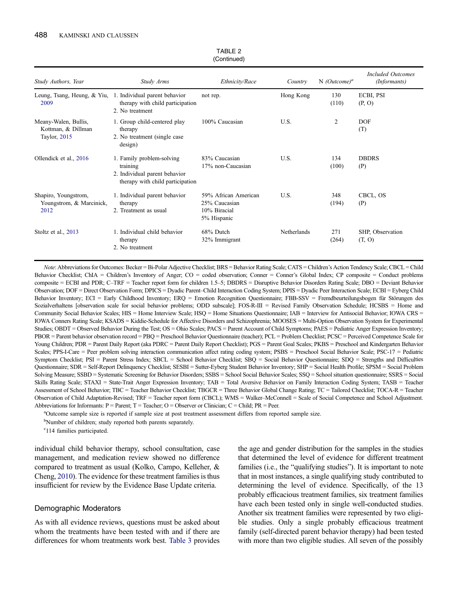| Study Authors, Year                                               | Study Arms                                                                                                 | Ethnicity/Race                                                       | Country            | N (Outcome) <sup>a</sup> | <b>Included Outcomes</b><br>(Informants) |
|-------------------------------------------------------------------|------------------------------------------------------------------------------------------------------------|----------------------------------------------------------------------|--------------------|--------------------------|------------------------------------------|
| Leung, Tsang, Heung, & Yiu, 1. Individual parent behavior<br>2009 | therapy with child participation<br>2. No treatment                                                        | not rep.                                                             | Hong Kong          | 130<br>(110)             | ECBI, PSI<br>(P, O)                      |
| Meany-Walen, Bullis,<br>Kottman, & Dillman<br>Taylor, 2015        | 1. Group child-centered play<br>therapy<br>2. No treatment (single case)<br>design)                        | 100% Caucasian                                                       | U.S.               | 2                        | <b>DOF</b><br>(T)                        |
| Ollendick et al., 2016                                            | 1. Family problem-solving<br>training<br>2. Individual parent behavior<br>therapy with child participation | 83% Caucasian<br>17% non-Caucasian                                   | U.S.               | 134<br>(100)             | <b>DBDRS</b><br>(P)                      |
| Shapiro, Youngstrom,<br>Youngstrom, & Marcinick,<br>2012          | 1. Individual parent behavior<br>therapy<br>2. Treatment as usual                                          | 59% African American<br>25% Caucasian<br>10% Biracial<br>5% Hispanic | U.S.               | 348<br>(194)             | CBCL, OS<br>(P)                          |
| Stoltz et al., 2013                                               | 1. Individual child behavior<br>therapy<br>2. No treatment                                                 | 68% Dutch<br>32% Immigrant                                           | <b>Netherlands</b> | 271<br>(264)             | SHP, Observation<br>(T, O)               |

TABLE 2 (Continued)

Note: Abbreviations for Outcomes: Becker = Bi-Polar Adjective Checklist; BRS = Behavior Rating Scale; CATS = Children's Action Tendency Scale; CBCL = Child Behavior Checklist; ChIA = Children's Inventory of Anger; CO = coded observation; Conner = Conner's Global Index; CP composite = Conduct problems composite = ECBI and PDR; C–TRF = Teacher report form for children 1.5–5; DBDRS = Disruptive Behavior Disorders Rating Scale; DBO = Deviant Behavior Observation; DOF = Direct Observation Form; DPICS = Dyadic Parent–Child Interaction Coding System; DPIS = Dyadic Peer Interaction Scale; ECBI = Eyberg Child Behavior Inventory; ECI = Early Childhood Inventory; ERQ = Emotion Recognition Questionnaire; FBB-SSV = Fremdbeurteilungsbogen für Störungen des Sozialverhaltens [observation scale for social behavior problems; ODD subscale]; FOS-R-III = Revised Family Observation Schedule; HCSBS = Home and Community Social Behavior Scales; HIS = Home Interview Scale; HSQ = Home Situations Questionnaire; IAB = Interview for Antisocial Behavior; IOWA CRS = IOWA Conners Rating Scale; KSADS = Kiddie-Schedule for Affective Disorders and Schizophrenia; MOOSES = Multi-Option Observation System for Experimental Studies; OBDT = Observed Behavior During the Test; OS = Ohio Scales; PACS = Parent Account of Child Symptoms; PAES = Pediatric Anger Expression Inventory; PBOR = Parent behavior observation record = PBQ = Preschool Behavior Questionnaire (teacher); PCL = Problem Checklist; PCSC = Perceived Competence Scale for Young Children; PDR = Parent Daily Report (aka PDRC = Parent Daily Report Checklist); PGS = Parent Goal Scales; PKBS = Preschool and Kindergarten Behavior Scales; PPS-I-Care = Peer problem solving interaction communication affect rating coding system; PSBS = Preschool Social Behavior Scale; PSC-17 = Pediatric Symptom Checklist; PSI = Parent Stress Index; SBCL = School Behavior Checklist; SBQ = Social Behavior Questionnaire; SDQ = Strengths and Difficulties Questionnaire; SDR = Self-Report Delinquency Checklist; SESBI = Sutter-Eyberg Student Behavior Inventory; SHP = Social Health Profile; SPSM = Social Problem Solving Measure; SSBD = Systematic Screening for Behavior Disorders; SSBS = School Social Behavior Scales; SSQ = School situation questionnaire; SSRS = Social Skills Rating Scale; STAXI = State-Trait Anger Expression Inventory; TAB = Total Aversive Behavior on Family Interaction Coding System; TASB = Teacher Assessment of School Behavior; TBC = Teacher Behavior Checklist; TBGCR = Three Behavior Global Change Rating; TC = Tailored Checklist; TOCA-R = Teacher Observation of Child Adaptation-Revised; TRF = Teacher report form (CBCL); WMS = Walker–McConnell = Scale of Social Competence and School Adjustment. Abbreviations for Informants:  $P =$  Parent;  $T =$  Teacher;  $O =$  Observer or Clinician;  $C =$  Child;  $PR =$  Peer.

<sup>a</sup>Outcome sample size is reported if sample size at post treatment assessment differs from reported sample size.

<sup>b</sup>Number of children; study reported both parents separately.

<sup>c</sup>114 families participated.

individual child behavior therapy, school consultation, case management, and medication review showed no difference compared to treatment as usual (Kolko, Campo, Kelleher, & Cheng, [2010](#page-22-0)). The evidence for these treatment families is thus insufficient for review by the Evidence Base Update criteria.

### Demographic Moderators

As with all evidence reviews, questions must be asked about whom the treatments have been tested with and if there are differences for whom treatments work best. [Table 3](#page-13-0) provides

the age and gender distribution for the samples in the studies that determined the level of evidence for different treatment families (i.e., the "qualifying studies"). It is important to note that in most instances, a single qualifying study contributed to determining the level of evidence. Specifically, of the 13 probably efficacious treatment families, six treatment families have each been tested only in single well-conducted studies. Another six treatment families were represented by two eligible studies. Only a single probably efficacious treatment family (self-directed parent behavior therapy) had been tested with more than two eligible studies. All seven of the possibly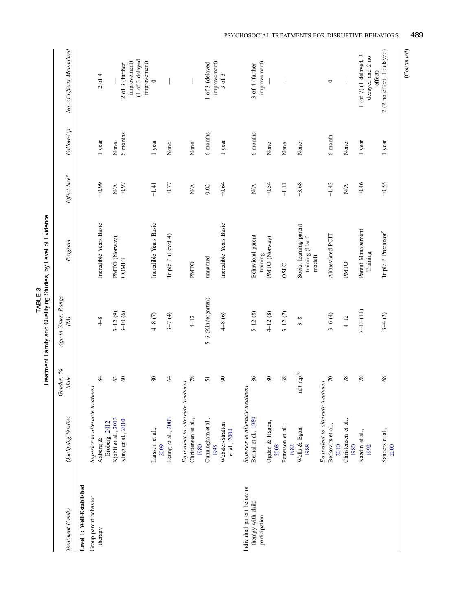<span id="page-13-0"></span>

|                            |                                           |                              |                                   | Treatment Family and Qualifying Studies, by Level of Evidence |                          |                  |                                 |
|----------------------------|-------------------------------------------|------------------------------|-----------------------------------|---------------------------------------------------------------|--------------------------|------------------|---------------------------------|
| Treatment Family           | Qualifying Studies                        | Gender: %<br>Male            | Age in Years: Range<br>$\lesssim$ | Program                                                       | Effect Size <sup>a</sup> | Follow-Up        | No. of Effects Maintained       |
| Level 1: Well-Established  |                                           |                              |                                   |                                                               |                          |                  |                                 |
| Group parent behavior      | Superior to alternate treatment           |                              |                                   |                                                               |                          |                  |                                 |
| therapy                    | Axberg &                                  | 84                           | $4 - 8$                           | Incredible Years Basic                                        | $-0.99$                  | 1 year           | $2$ of $4$                      |
|                            | Broberg, 2012                             |                              |                                   |                                                               |                          |                  |                                 |
|                            | Kjobli et al., 2013<br>Kling et al., 2010 | $\mathbb{S}$<br>$\mathbb{S}$ | $3 - 10(6)$<br>$3 - 12(9)$        | PMTO (Norway)<br>COMET                                        |                          | 6 months<br>None | 2 of 3 (further                 |
|                            |                                           |                              |                                   |                                                               |                          |                  | (1 of 3 delayed<br>improvement) |
|                            |                                           |                              |                                   |                                                               |                          |                  | improvement)                    |
|                            | Larsson et al.,<br>2009                   | $80\,$                       | $4 - 8(7)$                        | Incredible Years Basic                                        | $-1.41$                  | 1 year           | $\circ$                         |
|                            | Leung et al., 2003                        | $\mathcal{Z}$                | $3 - 7(4)$                        | Triple P (Level 4)                                            | $-0.77$                  | None             |                                 |
|                            | Equivalent to alternate treatment         |                              |                                   |                                                               |                          |                  |                                 |
|                            | Christensen et al.,<br>1980               | $78\,$                       | $4-12$                            | <b>PMTO</b>                                                   | $\mathbb{N}\mathbb{A}$   | None             |                                 |
|                            | Cunningham et al.,<br>1995                | 51                           | 5-6 (Kindergarten)                | unnamed                                                       | 0.02                     | 6 months         | improvement)<br>1 of 3 (delayed |
|                            | Webster-Stratton                          | $\infty$                     | $4 - 8(6)$                        | Incredible Years Basic                                        | $-0.64$                  | 1 year           | $3$ of $3$                      |
|                            | et al., 2004                              |                              |                                   |                                                               |                          |                  |                                 |
| Individual parent behavior | Superior to alternate treatment           |                              |                                   |                                                               |                          |                  |                                 |
| therapy with child         | Bernal et al., 1980                       | $8\,$                        | $5 - 12(8)$                       | Behavioral parent                                             | $\mathbf{N} \mathbf{A}$  | 6 months         | 3 of 4 (further                 |
| participation              |                                           |                              |                                   | training                                                      |                          |                  | improvement)                    |
|                            | Ogden & Hagen,<br>2008                    | $\rm 80$                     | $4 - 12(8)$                       | PMTO (Norway)                                                 | $-0.54$                  | None             |                                 |
|                            | Patterson et al.,<br>1982                 | $\mathbf{68}$                | $3 - 12(7)$                       | OSLC                                                          | $\overline{-1}$ .<br>11  | None             |                                 |
|                            | Wells & Egan,                             | not rep. $\frac{b}{b}$       | $3 - 8$                           | Social learning parent                                        | $-3.68$                  | None             |                                 |
|                            | 1988                                      |                              |                                   | training (Hanf<br>model)                                      |                          |                  |                                 |
|                            | Equivalent to alternate treatment         |                              |                                   |                                                               |                          |                  |                                 |
|                            | Berkovits et al.,                         | $70\,$                       | $3-6(4)$                          | Abbreviated PCIT                                              | $-1.43$                  | 6 month          | $\circ$                         |
|                            | 2010                                      |                              |                                   |                                                               |                          |                  |                                 |
|                            | Christensen et al.,<br>1980               | $78$                         | $4 - 12$                          | <b>PMTO</b>                                                   | $\mathbf{N}\mathbf{A}$   | None             |                                 |
|                            | Kazdin et al.,                            | 78                           | $7-13(11)$                        | Parent Management                                             | $-0.46$                  | 1 year           | 1 (of 7) (1 delayed, 3          |
|                            | 1992                                      |                              |                                   | Training                                                      |                          |                  | decayed and 2 no<br>effect)     |
|                            | Sanders et al.,<br>2000                   | $\sqrt{8}$                   | $3 - 4(3)$                        | Triple P Precursor <sup>c</sup>                               | $-0.55$                  | 1 year           | 2 (2 no effect, 1 delayed)      |
|                            |                                           |                              |                                   |                                                               |                          |                  | (Continued)                     |

TABLE 3 TABLE 3

PSYCHOSOCIAL TREATMENTS FOR DISRUPTIVE BEHAVIORS 489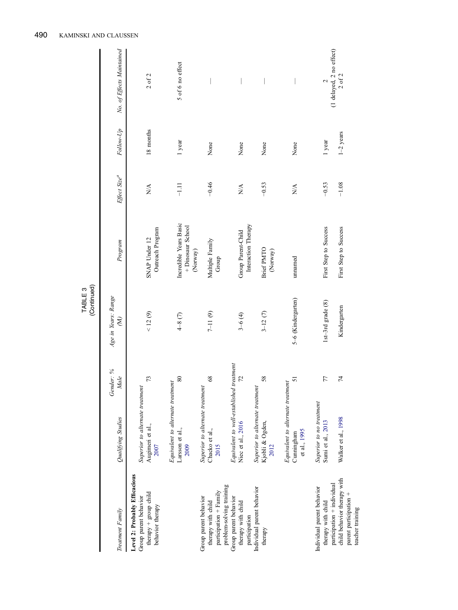|                                                                                                         |                                                                 |                   | (Continued)<br>TABLE <sub>3</sub> |                                                         |                           |             |                                        |
|---------------------------------------------------------------------------------------------------------|-----------------------------------------------------------------|-------------------|-----------------------------------|---------------------------------------------------------|---------------------------|-------------|----------------------------------------|
| Treatment Family                                                                                        | Qualifying Studies                                              | Gender: %<br>Male | Age in Years: Range<br>È,         | Program                                                 | Effect Size <sup>a</sup>  | Follow-Up   | No. of Effects Maintained              |
| Level 2: Probably Efficacious<br>therapy $+$ group child<br>Group parent behavior<br>behavior therapy   | Superior to alternate treatment<br>Augimeri et al.,<br>2007     | 73                | (9)                               | Outreach Program<br>SNAP Under 12                       | N/A                       | 18 months   | $2$ of $2$                             |
|                                                                                                         | Equivalent to alternate treatment<br>Larsson et al.,<br>2009    | 80                | $4 - 8(7)$                        | Incredible Years Basic<br>+ Dinosaur School<br>(Norway) | $-1.11$                   | 1 year      | 5 of 6 no effect                       |
| participation + Family<br>Group parent behavior<br>therapy with child                                   | Superior to alternate treatment<br>Chacko et al.,<br>2015       | 68                | $7-11(9)$                         | Multiple Family<br>Group                                | $-0.46$                   | None        |                                        |
| problem-solving training<br>Group parent behavior<br>therapy with child                                 | Equivalent to well-established treatment<br>Niec et al., 2016   | 72                | $3-6(4)$                          | Group Parent-Child                                      | $\mathbb{N}^{\mathbb{A}}$ | None        |                                        |
| Individual parent behavior<br>participation<br>therapy                                                  | Superior to alternate treatment<br>Kjobli & Ogden,<br>2012      | 58                | $3-12(7)$                         | Interaction Therapy<br><b>Brief PMTO</b><br>(Norway)    | $-0.53$                   | None        |                                        |
|                                                                                                         | Equivalent to alternate treatment<br>et al., 1995<br>Cunningham | $\overline{5}$    | 5-6 (Kindergarten)                | unnamed                                                 | $\sum_{i=1}^{n}$          | None        |                                        |
| Individual parent behavior<br>therapy with child                                                        | Superior to no treatment<br>Sumi et al., 2013                   | 77                | $1st-3rd$ grade $(8)$             | First Step to Success                                   | $-0.53$                   | 1 year      | $\sim$                                 |
| child behavior therapy with<br>participation + individual<br>parent participation +<br>teacher training | Walker et al., 1998                                             | 74                | Kindergarten                      | First Step to Success                                   | $-1.08$                   | $1-2$ years | (1 delayed, 2 no effect)<br>$2$ of $2$ |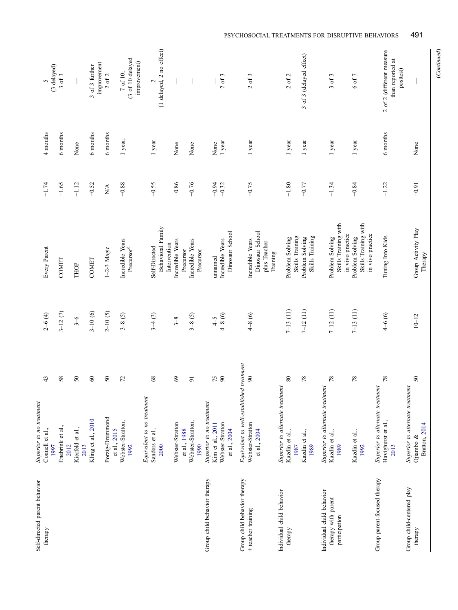| Self-directed parent behavior        | Superior to no treatment                                      |                |              |                                                                 |                        |          |                                                            |
|--------------------------------------|---------------------------------------------------------------|----------------|--------------|-----------------------------------------------------------------|------------------------|----------|------------------------------------------------------------|
| therapy                              | Connell et al.,<br>1997                                       | $\ddot{4}$     | $2 - 6(4)$   | Every Parent                                                    | $-1.74$                | 4 months | (3 delayed)<br>5                                           |
|                                      | Enebrink et al.,<br>2012                                      | 58             | $3 - 12(7)$  | COMET                                                           | $-1.65$                | 6 months | $3$ of $3$                                                 |
|                                      | Kierfeld et al.,<br>2013                                      | $\mathcal{S}$  | $3-6$        | THOP                                                            | $-1.12$                | None     |                                                            |
|                                      | Kling et al., 2010                                            | $\infty$       | $3 - 10(6)$  | COMET                                                           | $-0.52$                | 6 months | 3 of 3 further                                             |
|                                      | Porzig-Drummond<br>et al., 2015                               | $50\,$         | $2 - 10(5)$  | $1-2-3$ Magic                                                   | $\mathbf{N}\mathbf{A}$ | 6 months | improvement<br>$2$ of $2$                                  |
|                                      | Webster-Stratton,<br>1992                                     | 72             | $3 - 8(5)$   | Incredible Years<br>Precursor <sup>d</sup>                      | $-0.88$                | 1 year;  | (3 of 10 delayed<br>improvement)<br>7 of 10;               |
|                                      | Equivalent to no treatment<br>Sanders et al.,<br>2000         | 8 <sup>o</sup> | $3 - 4(3)$   | Behavioral Family<br>Intervention<br>Self-Directed              | $-0.55$                | 1 year   | (1 delayed, 2 no effect)<br>2                              |
|                                      | Webster-Stratton<br>et al., 1988                              | $\mathcal{S}$  | $3 - 8$      | Incredible Years<br>Precursor                                   | $-0.86$                | None     |                                                            |
|                                      | Webster-Stratton,<br>1990                                     | $\overline{5}$ | $3 - 8(5)$   | Incredible Years<br>Precursor                                   | $-0.76$                | None     |                                                            |
| Group child behavior therapy         | Superior to no treatment                                      |                |              |                                                                 |                        |          |                                                            |
|                                      | Kim et al., 2011                                              | 75             | $\zeta$      | unnamed                                                         | $-0.94$                | None     |                                                            |
|                                      | Webster-Stratton<br>et al., 2004                              |                | $4 - 8(6)$   | Dinosaur School<br>Incredible Years                             | $-0.32$                | 1 year   | 3<br>$2$ of :                                              |
| Group child behavior therapy         | Equivalent to well-established treatment                      |                |              |                                                                 |                        |          |                                                            |
| + teacher training                   | Webster-Stratton<br>et al., 2004                              | $\infty$       | $4 - 8(6)$   | Dinosaur School<br>Incredible Years<br>plus Teacher<br>Training | $-0.75$                | 1 year   | $2$ of $3$                                                 |
| Individual child behavior            | Superior to alternate treatment                               |                |              |                                                                 |                        |          |                                                            |
| therapy                              | Kazdin et al.,<br>1987                                        | $80\,$         | $7-13(11)$   | Skills Training<br>Problem Solving                              | $-1.80$                | 1 year   | $2$ of $2$                                                 |
|                                      | Kazdin et al.,<br>1989                                        | 78             | $7 - 12(11)$ | Skills Training<br>Problem Solving                              | $-0.77$                | 1 year   | 3 of 3 (delayed effect)                                    |
| Individual child behavior            | Superior to alternate treatment                               |                |              |                                                                 |                        |          |                                                            |
| therapy with parent<br>participation | Kazdin et al.,<br>1989                                        | $78\,$         | $7 - 12(11)$ | Skills Training with<br>in vivo practice<br>Problem Solving     | $-1.34$                | 1 year   | $3$ of $3$                                                 |
|                                      | Kazdin et al.,<br>1992                                        | 78             | $7-13(11)$   | Skills Training with<br>in vivo practice<br>Problem Solving     | $-0.84$                | 1 year   | $6$ of $7$                                                 |
| Group parent-focused therapy         | Superior to alternate treatment<br>Havighurst et al.,<br>2013 | 78             | $4 - 6(6)$   | Tuning Into Kids                                                | $-1.22$                | 6 months | 2 of 2 (different measure<br>than reported at<br>posttest) |
| Group child-centered play<br>therapy | Superior to alternate treatment<br>Ojiambo &                  | $\mathcal{S}$  | $10 - 12$    | Group Activity Play                                             | $-0.91$                | None     |                                                            |
|                                      | Bratton, 2014                                                 |                |              | Therapy                                                         |                        |          |                                                            |

# PSYCHOSOCIAL TREATMENTS FOR DISRUPTIVE BEHAVIORS 491

 $(Continued)$ (Continued)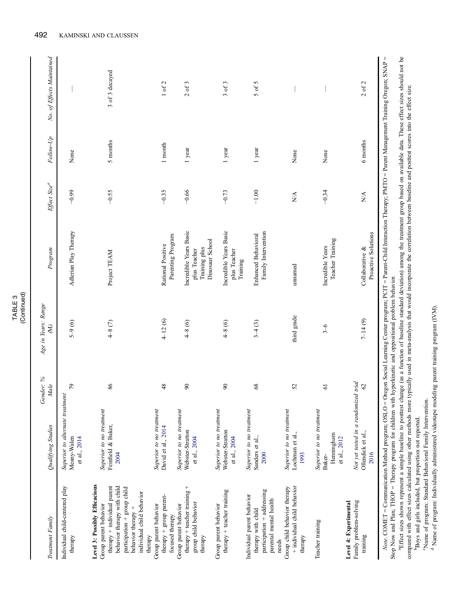TABLE 3<br>(Continued) (Continued) TABLE 3

| Treatment Family                                                                                                                                                                                                  | Qualifying Studies                                                | Gender: %<br>Male | Age in Years: Range<br>Q) | Program                                                                                                                                                                             | Effect Size <sup>a</sup>          | Follow-Up | No. of Effects Maintained |
|-------------------------------------------------------------------------------------------------------------------------------------------------------------------------------------------------------------------|-------------------------------------------------------------------|-------------------|---------------------------|-------------------------------------------------------------------------------------------------------------------------------------------------------------------------------------|-----------------------------------|-----------|---------------------------|
| Individual child-centered play<br>therapy                                                                                                                                                                         | Superior to alternate treatment<br>Meany-Walen<br>et al., 2014    | 79                | $5 - 9(6)$                | Adlerian Play Therapy                                                                                                                                                               | $-0.99$                           | None      |                           |
| Level 3: Possibly Efficacious<br>therapy + individual parent<br>behavior therapy with child<br>participation + group child<br>individual child behavior<br>Group parent behavior<br>behavior therapy +<br>therapy | Superior to no treatment<br>Feinfield & Baker,<br>2004            | 86                | $4-8$ $(7)$               | Project TEAM                                                                                                                                                                        | $-0.55$                           | 5 months  | 3 of 3 decayed            |
| therapy + group parent-<br>Group parent behavior<br>focused therapy                                                                                                                                               | Superior to no treatment<br>David et al., 2014                    | 48                | $4 - 12(6)$               | Parenting Program<br>Rational Positive                                                                                                                                              | $-0.35$                           | 1 month   | $1$ of $2$                |
| therapy + teacher training +<br>group child behavior<br>Group parent behavior<br>therapy                                                                                                                          | Superior to no treatment<br>Webster-Stratton<br>et al., 2004      | $\mathfrak{g}$    | $4 - 8(6)$                | Incredible Years Basic<br>Dinosaur School<br>Training plus<br>plus Teacher                                                                                                          | $-0.66$                           | 1 year    | 3<br>$2$ of :             |
| therapy + teacher training<br>Group parent behavior                                                                                                                                                               | Superior to no treatment<br>Webster-Stratton<br>et al., 2004      | $\infty$          | $4 - 8(6)$                | Incredible Years Basic<br>plus Teacher<br>Training                                                                                                                                  | $-0.73$                           | 1 year    | $3$ of $3$                |
| participation + addressing<br>Individual parent behavior<br>parental mental health<br>therapy with child                                                                                                          | Superior to no treatment<br>Sanders et al.,<br>2000               | 68                | $3 - 4$ (3)               | Family Intervention<br><b>Enhanced Behavioral</b>                                                                                                                                   | $-1.00$                           | 1 year    | $5$ of $5$                |
| + individual child behavior<br>Group child behavior therapy<br>therapy<br>needs                                                                                                                                   | Superior to no treatment<br>Lochman et al.,<br>1993               | 52                | third grade               | unnamed                                                                                                                                                                             | $\frac{\Delta}{\Delta}$           | None      |                           |
| Teacher training                                                                                                                                                                                                  | Superior to no treatment<br>Henningham<br>et al., 2012<br>Baker-  | 61                | $3 - 6$                   | Teacher Training<br>Incredible Years                                                                                                                                                | $-0.34$                           | None      |                           |
| Family problem-solving<br>Level 4: Experimental<br>training                                                                                                                                                       | Not yet tested in a randomized trial<br>Ollendick et al.,<br>2016 | 62                | $7 - 14(9)$               | Proactive Solutions<br>Collaborative &                                                                                                                                              | $\frac{\triangleleft}{\triangle}$ | 6 months  | $2$ of $2$                |
|                                                                                                                                                                                                                   |                                                                   |                   |                           | Note. COMET = Communication Method program; OSLO = Oregon Social Learning Center program; PCIT = Parent-Child Interaction Therapy; PMTO = Parent Management Training Oregon; SNAP = |                                   |           |                           |

Stop Now and Plan; THOP = Therapy program for children with hyperkinetic and oppositional problem behavior. Stop Now and Plan; THOP = Therapy program for children with hyperkinetic and oppositional problem behavior.

<sup>a</sup>Effect sizes shown represent a simple baseline to posttest change (as a function of baseline standard deviation) among the treatment group based on available data. These effect sizes should not be aEffect sizes shown represent a simple baseline to posttest change (as a function of baseline standard deviation) among the treatment group based on available data. These effect sizes should not be compared with effect sizes calculated using other methods more typically used in meta-analysis that would incorporate the correlation between baseline and posttest scores into the effect size. compared with effect sizes calculated using other methods more typically used in meta-analysis that would incorporate the correlation between baseline and posttest scores into the effect size.

<sup>o</sup>Name of program: Standard Behavioral Family Intervention. cName of program: Standard Behavioral Family Intervention. <sup>b</sup>Boys and girls included, but proportion not reported. bBoys and girls included, but proportion not reported.

<sup>d</sup> Name of program: Individually administered videotape modeling parent training program (IVM). Name of program: Individually administered videotape modeling parent training program (IVM).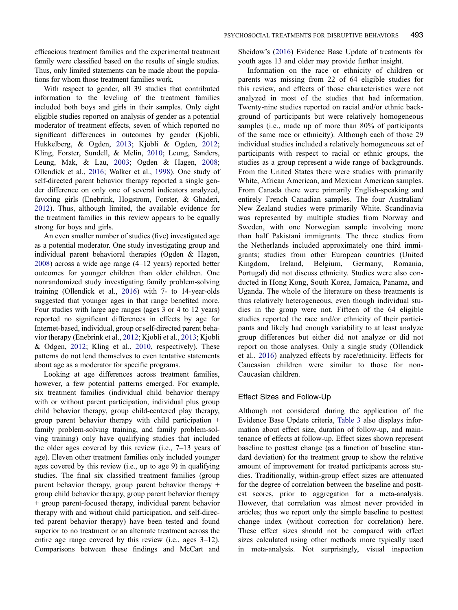efficacious treatment families and the experimental treatment family were classified based on the results of single studies. Thus, only limited statements can be made about the populations for whom those treatment families work.

With respect to gender, all 39 studies that contributed information to the leveling of the treatment families included both boys and girls in their samples. Only eight eligible studies reported on analysis of gender as a potential moderator of treatment effects, seven of which reported no significant differences in outcomes by gender (Kjobli, Hukkelberg, & Ogden, [2013;](#page-22-0) Kjobli & Ogden, [2012](#page-22-0); Kling, Forster, Sundell, & Melin, [2010;](#page-22-0) Leung, Sanders, Leung, Mak, & Lau, [2003;](#page-22-0) Ogden & Hagen, [2008](#page-22-0); Ollendick et al., [2016;](#page-22-0) Walker et al., [1998\)](#page-23-0). One study of self-directed parent behavior therapy reported a single gender difference on only one of several indicators analyzed, favoring girls (Enebrink, Hogstrom, Forster, & Ghaderi, [2012\)](#page-21-0). Thus, although limited, the available evidence for the treatment families in this review appears to be equally strong for boys and girls.

An even smaller number of studies (five) investigated age as a potential moderator. One study investigating group and individual parent behavioral therapies (Ogden & Hagen, [2008\)](#page-22-0) across a wide age range (4–12 years) reported better outcomes for younger children than older children. One nonrandomized study investigating family problem-solving training (Ollendick et al., [2016\)](#page-22-0) with 7- to 14-year-olds suggested that younger ages in that range benefited more. Four studies with large age ranges (ages 3 or 4 to 12 years) reported no significant differences in effects by age for Internet-based, individual, group or self-directed parent behavior therapy (Enebrink et al., [2012](#page-21-0); Kjobli et al., [2013;](#page-22-0) Kjobli & Odgen, [2012](#page-22-0); Kling et al., [2010,](#page-22-0) respectively). These patterns do not lend themselves to even tentative statements about age as a moderator for specific programs.

Looking at age differences across treatment families, however, a few potential patterns emerged. For example, six treatment families (individual child behavior therapy with or without parent participation, individual plus group child behavior therapy, group child-centered play therapy, group parent behavior therapy with child participation + family problem-solving training, and family problem-solving training) only have qualifying studies that included the older ages covered by this review (i.e., 7–13 years of age). Eleven other treatment families only included younger ages covered by this review (i.e., up to age 9) in qualifying studies. The final six classified treatment families (group parent behavior therapy, group parent behavior therapy + group child behavior therapy, group parent behavior therapy + group parent-focused therapy, individual parent behavior therapy with and without child participation, and self-directed parent behavior therapy) have been tested and found superior to no treatment or an alternate treatment across the entire age range covered by this review (i.e., ages 3–12). Comparisons between these findings and McCart and

Sheidow's [\(2016](#page-22-0)) Evidence Base Update of treatments for youth ages 13 and older may provide further insight.

Information on the race or ethnicity of children or parents was missing from 22 of 64 eligible studies for this review, and effects of those characteristics were not analyzed in most of the studies that had information. Twenty-nine studies reported on racial and/or ethnic background of participants but were relatively homogeneous samples (i.e., made up of more than 80% of participants of the same race or ethnicity). Although each of those 29 individual studies included a relatively homogeneous set of participants with respect to racial or ethnic groups, the studies as a group represent a wide range of backgrounds. From the United States there were studies with primarily White, African American, and Mexican American samples. From Canada there were primarily English-speaking and entirely French Canadian samples. The four Australian/ New Zealand studies were primarily White. Scandinavia was represented by multiple studies from Norway and Sweden, with one Norwegian sample involving more than half Pakistani immigrants. The three studies from the Netherlands included approximately one third immigrants; studies from other European countries (United Kingdom, Ireland, Belgium, Germany, Romania, Portugal) did not discuss ethnicity. Studies were also conducted in Hong Kong, South Korea, Jamaica, Panama, and Uganda. The whole of the literature on these treatments is thus relatively heterogeneous, even though individual studies in the group were not. Fifteen of the 64 eligible studies reported the race and/or ethnicity of their participants and likely had enough variability to at least analyze group differences but either did not analyze or did not report on those analyses. Only a single study (Ollendick et al., [2016\)](#page-22-0) analyzed effects by race/ethnicity. Effects for Caucasian children were similar to those for non-Caucasian children.

## Effect Sizes and Follow-Up

Although not considered during the application of the Evidence Base Update criteria, [Table 3](#page-13-0) also displays information about effect size, duration of follow-up, and maintenance of effects at follow-up. Effect sizes shown represent baseline to posttest change (as a function of baseline standard deviation) for the treatment group to show the relative amount of improvement for treated participants across studies. Traditionally, within-group effect sizes are attenuated for the degree of correlation between the baseline and posttest scores, prior to aggregation for a meta-analysis. However, that correlation was almost never provided in articles; thus we report only the simple baseline to posttest change index (without correction for correlation) here. These effect sizes should not be compared with effect sizes calculated using other methods more typically used in meta-analysis. Not surprisingly, visual inspection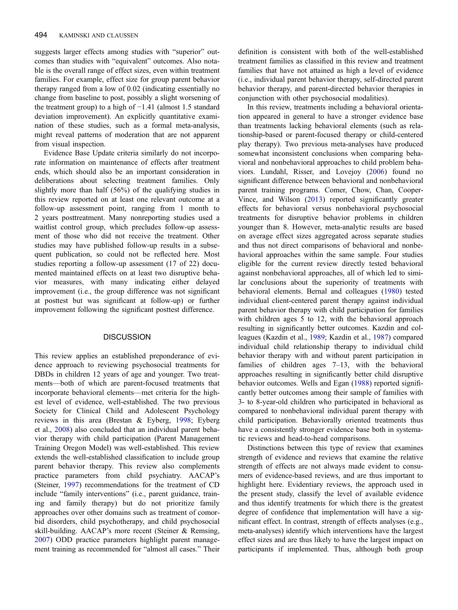suggests larger effects among studies with "superior" outcomes than studies with "equivalent" outcomes. Also notable is the overall range of effect sizes, even within treatment families. For example, effect size for group parent behavior therapy ranged from a low of 0.02 (indicating essentially no change from baseline to post, possibly a slight worsening of the treatment group) to a high of −1.41 (almost 1.5 standard deviation improvement). An explicitly quantitative examination of these studies, such as a formal meta-analysis, might reveal patterns of moderation that are not apparent from visual inspection.

Evidence Base Update criteria similarly do not incorporate information on maintenance of effects after treatment ends, which should also be an important consideration in deliberations about selecting treatment families. Only slightly more than half (56%) of the qualifying studies in this review reported on at least one relevant outcome at a follow-up assessment point, ranging from 1 month to 2 years posttreatment. Many nonreporting studies used a waitlist control group, which precludes follow-up assessment of those who did not receive the treatment. Other studies may have published follow-up results in a subsequent publication, so could not be reflected here. Most studies reporting a follow-up assessment (17 of 22) documented maintained effects on at least two disruptive behavior measures, with many indicating either delayed improvement (i.e., the group difference was not significant at posttest but was significant at follow-up) or further improvement following the significant posttest difference.

# **DISCUSSION**

This review applies an established preponderance of evidence approach to reviewing psychosocial treatments for DBDs in children 12 years of age and younger. Two treatments—both of which are parent-focused treatments that incorporate behavioral elements—met criteria for the highest level of evidence, well-established. The two previous Society for Clinical Child and Adolescent Psychology reviews in this area (Brestan & Eyberg, [1998;](#page-21-0) Eyberg et al., [2008\)](#page-21-0) also concluded that an individual parent behavior therapy with child participation (Parent Management Training Oregon Model) was well-established. This review extends the well-established classification to include group parent behavior therapy. This review also complements practice parameters from child psychiatry. AACAP's (Steiner, [1997](#page-23-0)) recommendations for the treatment of CD include "family interventions" (i.e., parent guidance, training and family therapy) but do not prioritize family approaches over other domains such as treatment of comorbid disorders, child psychotherapy, and child psychosocial skill-building. AACAP's more recent (Steiner & Remsing, [2007\)](#page-23-0) ODD practice parameters highlight parent management training as recommended for "almost all cases." Their

definition is consistent with both of the well-established treatment families as classified in this review and treatment families that have not attained as high a level of evidence (i.e., individual parent behavior therapy, self-directed parent behavior therapy, and parent-directed behavior therapies in conjunction with other psychosocial modalities).

In this review, treatments including a behavioral orientation appeared in general to have a stronger evidence base than treatments lacking behavioral elements (such as relationship-based or parent-focused therapy or child-centered play therapy). Two previous meta-analyses have produced somewhat inconsistent conclusions when comparing behavioral and nonbehavioral approaches to child problem behaviors. Lundahl, Risser, and Lovejoy ([2006\)](#page-22-0) found no significant difference between behavioral and nonbehavioral parent training programs. Comer, Chow, Chan, Cooper-Vince, and Wilson ([2013\)](#page-21-0) reported significantly greater effects for behavioral versus nonbehavioral psychosocial treatments for disruptive behavior problems in children younger than 8. However, meta-analytic results are based on average effect sizes aggregated across separate studies and thus not direct comparisons of behavioral and nonbehavioral approaches within the same sample. Four studies eligible for the current review directly tested behavioral against nonbehavioral approaches, all of which led to similar conclusions about the superiority of treatments with behavioral elements. Bernal and colleagues ([1980\)](#page-21-0) tested individual client-centered parent therapy against individual parent behavior therapy with child participation for families with children ages 5 to 12, with the behavioral approach resulting in significantly better outcomes. Kazdin and colleagues (Kazdin et al., [1989](#page-21-0); Kazdin et al., [1987\)](#page-22-0) compared individual child relationship therapy to individual child behavior therapy with and without parent participation in families of children ages 7–13, with the behavioral approaches resulting in significantly better child disruptive behavior outcomes. Wells and Egan ([1988\)](#page-23-0) reported significantly better outcomes among their sample of families with 3- to 8-year-old children who participated in behavioral as compared to nonbehavioral individual parent therapy with child participation. Behaviorally oriented treatments thus have a consistently stronger evidence base both in systematic reviews and head-to-head comparisons.

Distinctions between this type of review that examines strength of evidence and reviews that examine the relative strength of effects are not always made evident to consumers of evidence-based reviews, and are thus important to highlight here. Evidentiary reviews, the approach used in the present study, classify the level of available evidence and thus identify treatments for which there is the greatest degree of confidence that implementation will have a significant effect. In contrast, strength of effects analyses (e.g., meta-analyses) identify which interventions have the largest effect sizes and are thus likely to have the largest impact on participants if implemented. Thus, although both group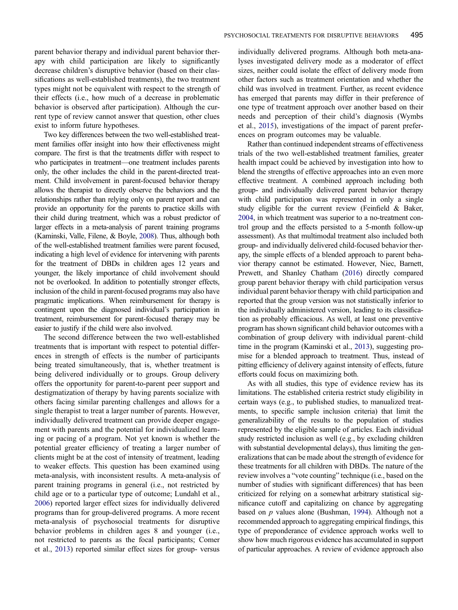parent behavior therapy and individual parent behavior therapy with child participation are likely to significantly decrease children's disruptive behavior (based on their classifications as well-established treatments), the two treatment types might not be equivalent with respect to the strength of their effects (i.e., how much of a decrease in problematic behavior is observed after participation). Although the current type of review cannot answer that question, other clues exist to inform future hypotheses.

Two key differences between the two well-established treatment families offer insight into how their effectiveness might compare. The first is that the treatments differ with respect to who participates in treatment—one treatment includes parents only, the other includes the child in the parent-directed treatment. Child involvement in parent-focused behavior therapy allows the therapist to directly observe the behaviors and the relationships rather than relying only on parent report and can provide an opportunity for the parents to practice skills with their child during treatment, which was a robust predictor of larger effects in a meta-analysis of parent training programs (Kaminski, Valle, Filene, & Boyle, [2008\)](#page-21-0). Thus, although both of the well-established treatment families were parent focused, indicating a high level of evidence for intervening with parents for the treatment of DBDs in children ages 12 years and younger, the likely importance of child involvement should not be overlooked. In addition to potentially stronger effects, inclusion of the child in parent-focused programs may also have pragmatic implications. When reimbursement for therapy is contingent upon the diagnosed individual's participation in treatment, reimbursement for parent-focused therapy may be easier to justify if the child were also involved.

The second difference between the two well-established treatments that is important with respect to potential differences in strength of effects is the number of participants being treated simultaneously, that is, whether treatment is being delivered individually or to groups. Group delivery offers the opportunity for parent-to-parent peer support and destigmatization of therapy by having parents socialize with others facing similar parenting challenges and allows for a single therapist to treat a larger number of parents. However, individually delivered treatment can provide deeper engagement with parents and the potential for individualized learning or pacing of a program. Not yet known is whether the potential greater efficiency of treating a larger number of clients might be at the cost of intensity of treatment, leading to weaker effects. This question has been examined using meta-analysis, with inconsistent results. A meta-analysis of parent training programs in general (i.e., not restricted by child age or to a particular type of outcome; Lundahl et al., [2006\)](#page-22-0) reported larger effect sizes for individually delivered programs than for group-delivered programs. A more recent meta-analysis of psychosocial treatments for disruptive behavior problems in children ages 8 and younger (i.e., not restricted to parents as the focal participants; Comer et al., [2013](#page-21-0)) reported similar effect sizes for group- versus

individually delivered programs. Although both meta-analyses investigated delivery mode as a moderator of effect sizes, neither could isolate the effect of delivery mode from other factors such as treatment orientation and whether the child was involved in treatment. Further, as recent evidence has emerged that parents may differ in their preference of one type of treatment approach over another based on their needs and perception of their child's diagnosis (Wymbs et al., [2015](#page-23-0)), investigations of the impact of parent preferences on program outcomes may be valuable.

Rather than continued independent streams of effectiveness trials of the two well-established treatment families, greater health impact could be achieved by investigation into how to blend the strengths of effective approaches into an even more effective treatment. A combined approach including both group- and individually delivered parent behavior therapy with child participation was represented in only a single study eligible for the current review (Feinfield & Baker, [2004](#page-21-0), in which treatment was superior to a no-treatment control group and the effects persisted to a 5-month follow-up assessment). As that multimodal treatment also included both group- and individually delivered child-focused behavior therapy, the simple effects of a blended approach to parent behavior therapy cannot be estimated. However, Niec, Barnett, Prewett, and Shanley Chatham [\(2016\)](#page-22-0) directly compared group parent behavior therapy with child participation versus individual parent behavior therapy with child participation and reported that the group version was not statistically inferior to the individually administered version, leading to its classification as probably efficacious. As well, at least one preventive program has shown significant child behavior outcomes with a combination of group delivery with individual parent–child time in the program (Kaminski et al., [2013](#page-21-0)), suggesting promise for a blended approach to treatment. Thus, instead of pitting efficiency of delivery against intensity of effects, future efforts could focus on maximizing both.

As with all studies, this type of evidence review has its limitations. The established criteria restrict study eligibility in certain ways (e.g., to published studies, to manualized treatments, to specific sample inclusion criteria) that limit the generalizability of the results to the population of studies represented by the eligible sample of articles. Each individual study restricted inclusion as well (e.g., by excluding children with substantial developmental delays), thus limiting the generalizations that can be made about the strength of evidence for these treatments for all children with DBDs. The nature of the review involves a "vote counting" technique (i.e., based on the number of studies with significant differences) that has been criticized for relying on a somewhat arbitrary statistical significance cutoff and capitalizing on chance by aggregating based on  $p$  values alone (Bushman, [1994\)](#page-21-0). Although not a recommended approach to aggregating empirical findings, this type of preponderance of evidence approach works well to show how much rigorous evidence has accumulated in support of particular approaches. A review of evidence approach also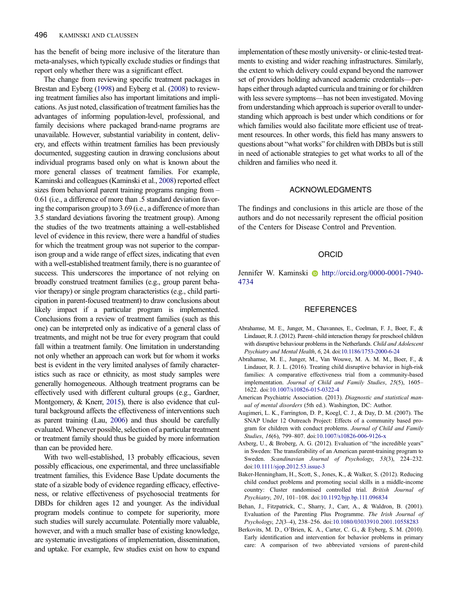<span id="page-20-0"></span>has the benefit of being more inclusive of the literature than meta-analyses, which typically exclude studies or findings that report only whether there was a significant effect.

The change from reviewing specific treatment packages in Brestan and Eyberg ([1998\)](#page-21-0) and Eyberg et al. [\(2008](#page-21-0)) to reviewing treatment families also has important limitations and implications. As just noted, classification of treatment families has the advantages of informing population-level, professional, and family decisions where packaged brand-name programs are unavailable. However, substantial variability in content, delivery, and effects within treatment families has been previously documented, suggesting caution in drawing conclusions about individual programs based only on what is known about the more general classes of treatment families. For example, Kaminski and colleagues (Kaminski et al., [2008](#page-21-0)) reported effect sizes from behavioral parent training programs ranging from – 0.61 (i.e., a difference of more than .5 standard deviation favoring the comparison group) to 3.69 (i.e., a difference of more than 3.5 standard deviations favoring the treatment group). Among the studies of the two treatments attaining a well-established level of evidence in this review, there were a handful of studies for which the treatment group was not superior to the comparison group and a wide range of effect sizes, indicating that even with a well-established treatment family, there is no guarantee of success. This underscores the importance of not relying on broadly construed treatment families (e.g., group parent behavior therapy) or single program characteristics (e.g., child participation in parent-focused treatment) to draw conclusions about likely impact if a particular program is implemented. Conclusions from a review of treatment families (such as this one) can be interpreted only as indicative of a general class of treatments, and might not be true for every program that could fall within a treatment family. One limitation in understanding not only whether an approach can work but for whom it works best is evident in the very limited analyses of family characteristics such as race or ethnicity, as most study samples were generally homogeneous. Although treatment programs can be effectively used with different cultural groups (e.g., Gardner, Montgomery, & Knerr, [2015](#page-21-0)), there is also evidence that cultural background affects the effectiveness of interventions such as parent training (Lau, [2006](#page-22-0)) and thus should be carefully evaluated. Whenever possible, selection of a particular treatment or treatment family should thus be guided by more information than can be provided here.

With two well-established, 13 probably efficacious, seven possibly efficacious, one experimental, and three unclassifiable treatment families, this Evidence Base Update documents the state of a sizable body of evidence regarding efficacy, effectiveness, or relative effectiveness of psychosocial treatments for DBDs for children ages 12 and younger. As the individual program models continue to compete for superiority, more such studies will surely accumulate. Potentially more valuable, however, and with a much smaller base of existing knowledge, are systematic investigations of implementation, dissemination, and uptake. For example, few studies exist on how to expand implementation of these mostly university- or clinic-tested treatments to existing and wider reaching infrastructures. Similarly, the extent to which delivery could expand beyond the narrower set of providers holding advanced academic credentials—perhaps either through adapted curricula and training or for children with less severe symptoms—has not been investigated. Moving from understanding which approach is superior overall to understanding which approach is best under which conditions or for which families would also facilitate more efficient use of treatment resources. In other words, this field has many answers to questions about "what works" for children with DBDs but is still in need of actionable strategies to get what works to all of the children and families who need it.

# ACKNOWLEDGMENTS

The findings and conclusions in this article are those of the authors and do not necessarily represent the official position of the Centers for Disease Control and Prevention.

# **ORCID**

Jennifer W. Kaminski Dhttp://orcid.org/0000-0001-7940-4734

# **REFERENCES**

- Abrahamse, M. E., Junger, M., Chavannes, E., Coelman, F. J., Boer, F., & Lindauer, R. J. (2012). Parent–child interaction therapy for preschool children with disruptive behaviour problems in the Netherlands. Child and Adolescent Psychiatry and Mental Health, 6, 24. doi:[10.1186/1753-2000-6-24](http://dx.doi.org/10.1186/1753-2000-6-24)
- Abrahamse, M. E., Junger, M., Van Wouwe, M. A. M. M., Boer, F., & Lindauer, R. J. L. (2016). Treating child disruptive behavior in high-risk families: A comparative effectiveness trial from a community-based implementation. Journal of Child and Family Studies, 25(5), 1605– 1622. doi:[10.1007/s10826-015-0322-4](http://dx.doi.org/10.1007/s10826-015-0322-4)
- American Psychiatric Association. (2013). Diagnostic and statistical manual of mental disorders (5th ed.). Washington, DC: Author.
- Augimeri, L. K., Farrington, D. P., Koegl, C. J., & Day, D. M. (2007). The SNAP Under 12 Outreach Project: Effects of a community based program for children with conduct problems. Journal of Child and Family Studies, 16(6), 799–807. doi:[10.1007/s10826-006-9126-x](http://dx.doi.org/10.1007/s10826-006-9126-x)
- Axberg, U., & Broberg, A. G. (2012). Evaluation of "the incredible years" in Sweden: The transferability of an American parent-training program to Sweden. Scandinavian Journal of Psychology, 53(3), 224–232. doi[:10.1111/sjop.2012.53.issue-3](http://dx.doi.org/10.1111/sjop.2012.53.issue-3)
- Baker-Henningham, H., Scott, S., Jones, K., & Walker, S. (2012). Reducing child conduct problems and promoting social skills in a middle-income country: Cluster randomised controlled trial. British Journal of Psychiatry, 201, 101–108. doi:[10.1192/bjp.bp.111.096834](http://dx.doi.org/10.1192/bjp.bp.111.096834)
- Behan, J., Fitzpatrick, C., Sharry, J., Carr, A., & Waldron, B. (2001). Evaluation of the Parenting Plus Programme. The Irish Journal of Psychology, 22(3–4), 238–256. doi:[10.1080/03033910.2001.10558283](http://dx.doi.org/10.1080/03033910.2001.10558283)
- Berkovits, M. D., O'Brien, K. A., Carter, C. G., & Eyberg, S. M. (2010). Early identification and intervention for behavior problems in primary care: A comparison of two abbreviated versions of parent-child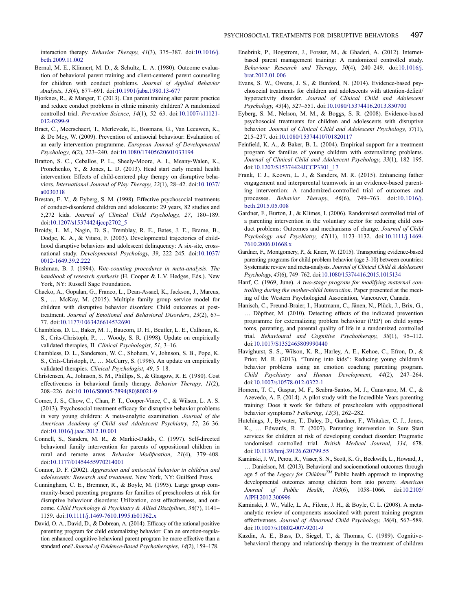<span id="page-21-0"></span>interaction therapy. Behavior Therapy, 41(3), 375–387. doi:[10.1016/j.](http://dx.doi.org/10.1016/j.beth.2009.11.002) [beth.2009.11.002](http://dx.doi.org/10.1016/j.beth.2009.11.002)

- Bernal, M. E., Klinnert, M. D., & Schultz, L. A. (1980). Outcome evaluation of behavioral parent training and client-centered parent counseling for children with conduct problems. Journal of Applied Behavior Analysis, 13(4), 677–691. doi[:10.1901/jaba.1980.13-677](http://dx.doi.org/10.1901/jaba.1980.13-677)
- Bjorknes, R., & Manger, T. (2013). Can parent training alter parent practice and reduce conduct problems in ethnic minority children? A randomized controlled trial. Prevention Science, 14(1), 52–63. doi:[10.1007/s11121-](http://dx.doi.org/10.1007/s11121-012-0299-9) [012-0299-9](http://dx.doi.org/10.1007/s11121-012-0299-9)
- Braet, C., Meerschaert, T., Merlevede, E., Bosmans, G., Van Leeuwen, K., & De Mey, W. (2009). Prevention of antisocial behaviour: Evaluation of an early intervention programme. European Journal of Developmental Psychology, 6(2), 223–240. doi:[10.1080/17405620601033194](http://dx.doi.org/10.1080/17405620601033194)
- Bratton, S. C., Ceballos, P. L., Sheely-Moore, A. I., Meany-Walen, K., Pronchenko, Y., & Jones, L. D. (2013). Head start early mental health intervention: Effects of child-centered play therapy on disruptive behaviors. International Journal of Play Therapy, 22(1), 28–42. doi:[10.1037/](http://dx.doi.org/10.1037/a0030318) [a0030318](http://dx.doi.org/10.1037/a0030318)
- Brestan, E. V., & Eyberg, S. M. (1998). Effective psychosocial treatments of conduct-disordered children and adolescents: 29 years, 82 studies and 5,272 kids. Journal of Clinical Child Psychology, 27, 180–189. doi[:10.1207/s15374424jccp2702\\_5](http://dx.doi.org/10.1207/s15374424jccp2702%5F5)
- Broidy, L. M., Nagin, D. S., Tremblay, R. E., Bates, J. E., Brame, B., Dodge, K. A., & Vitaro, F. (2003). Developmental trajectories of childhood disruptive behaviors and adolescent delinquency: A six-site, crossnational study. Developmental Psychology, 39, 222–245. doi:[10.1037/](http://dx.doi.org/10.1037/0012-1649.39.2.222) [0012-1649.39.2.222](http://dx.doi.org/10.1037/0012-1649.39.2.222)
- Bushman, B. J. (1994). Vote-counting procedures in meta-analysis. The handbook of research synthesis (H. Cooper & L.V. Hedges, Eds.). New York, NY: Russell Sage Foundation.
- Chacko, A., Gopalan, G., Franco, L., Dean-Assael, K., Jackson, J., Marcus, S., … McKay, M. (2015). Multiple family group service model for children with disruptive behavior disorders: Child outcomes at posttreatment. Journal of Emotional and Behavioral Disorders, 23(2), 67– 77. doi:[10.1177/1063426614532690](http://dx.doi.org/10.1177/1063426614532690)
- Chambless, D. L., Baker, M. J., Baucom, D. H., Beutler, L. E., Calhoun, K. S., Crits-Christoph, P., … Woody, S. R. (1998). Update on empirically validated therapies, II. Clinical Psychologist, 51, 3-16.
- Chambless, D. L., Sanderson, W. C., Shoham, V., Johnson, S. B., Pope, K. S., Crits-Christoph, P., … McCurry, S. (1996). An update on empirically validated therapies. Clinical Psychologist, 49, 5–18.
- Christensen, A., Johnson, S. M., Phillips, S., & Glasgow, R. E. (1980). Cost effectiveness in behavioral family therapy. Behavior Therapy, 11(2), 208–226. doi:[10.1016/S0005-7894\(80\)80021-9](http://dx.doi.org/10.1016/S0005-7894(80)80021-9)
- Comer, J. S., Chow, C., Chan, P. T., Cooper-Vince, C., & Wilson, L. A. S. (2013). Psychosocial treatment efficacy for disruptive behavior problems in very young children: A meta-analytic examination. Journal of the American Academy of Child and Adolescent Psychiatry, 52, 26–36. doi[:10.1016/j.jaac.2012.10.001](http://dx.doi.org/10.1016/j.jaac.2012.10.001)
- Connell, S., Sanders, M. R., & Markie-Dadds, C. (1997). Self-directed behavioral family intervention for parents of oppositional children in rural and remote areas. Behavior Modification, 21(4), 379–408. doi[:10.1177/01454455970214001](http://dx.doi.org/10.1177/01454455970214001)
- Connor, D. F. (2002). Aggression and antisocial behavior in children and adolescents: Research and treatment. New York, NY: Guilford Press.
- Cunningham, C. E., Bremner, R., & Boyle, M. (1995). Large group community-based parenting programs for families of preschoolers at risk for disruptive behaviour disorders: Utilization, cost effectiveness, and outcome. Child Psychology & Psychiatry & Allied Disciplines, 36(7), 1141– 1159. doi[:10.1111/j.1469-7610.1995.tb01362.x](http://dx.doi.org/10.1111/j.1469-7610.1995.tb01362.x)
- David, O. A., David, D., & Dobrean, A. (2014). Efficacy of the rational positive parenting program for child externalizing behavior: Can an emotion-regulation enhanced cognitive-behavioral parent program be more effective than a standard one? Journal of Evidence-Based Psychotherapies, 14(2), 159–178.
- Enebrink, P., Hogstrom, J., Forster, M., & Ghaderi, A. (2012). Internetbased parent management training: A randomized controlled study. Behaviour Research and Therapy, 50(4), 240–249. doi:[10.1016/j.](http://dx.doi.org/10.1016/j.brat.2012.01.006) [brat.2012.01.006](http://dx.doi.org/10.1016/j.brat.2012.01.006)
- Evans, S. W., Owens, J. S., & Bunford, N. (2014). Evidence-based psychosocial treatments for children and adolescents with attention-deficit/ hyperactivity disorder. Journal of Clinical Child and Adolescent Psychology, 43(4), 527–551. doi:[10.1080/15374416.2013.850700](http://dx.doi.org/10.1080/15374416.2013.850700)
- Eyberg, S. M., Nelson, M. M., & Boggs, S. R. (2008). Evidence-based psychosocial treatments for children and adolescents with disruptive behavior. Journal of Clinical Child and Adolescent Psychology, 37(1), 215–237. doi[:10.1080/15374410701820117](http://dx.doi.org/10.1080/15374410701820117)
- Feinfield, K. A., & Baker, B. L. (2004). Empirical support for a treatment program for families of young children with externalizing problems. Journal of Clinical Child and Adolescent Psychology, 33(1), 182–195. doi[:10.1207/S15374424JCCP3301\\_17](http://dx.doi.org/10.1207/S15374424JCCP3301%5F17)
- Frank, T. J., Keown, L. J., & Sanders, M. R. (2015). Enhancing father engagement and interparental teamwork in an evidence-based parenting intervention: A randomized-controlled trial of outcomes and processes. Behavior Therapy, 46(6), 749–763. doi[:10.1016/j.](http://dx.doi.org/10.1016/j.beth.2015.05.008) [beth.2015.05.008](http://dx.doi.org/10.1016/j.beth.2015.05.008)
- Gardner, F., Burton, J., & Klimes, I. (2006). Randomised controlled trial of a parenting intervention in the voluntary sector for reducing child conduct problems: Outcomes and mechanisms of change. Journal of Child Psychology and Psychiatry, 47(11), 1123–1132. doi[:10.1111/j.1469-](http://dx.doi.org/10.1111/j.1469-7610.2006.01668.x) [7610.2006.01668.x](http://dx.doi.org/10.1111/j.1469-7610.2006.01668.x)
- Gardner, F., Montgomery, P., & Knerr, W. (2015). Transporting evidence-based parenting programs for child problem behavior (age 3-10) between countries: Systematic review and meta-analysis. Journal of Clinical Child & Adolescent Psychology, 45(6), 749–762. doi[:10.1080/15374416.2015.1015134](http://dx.doi.org/10.1080/15374416.2015.1015134)
- Hanf, C. (1969, June). A two-stage program for modifying maternal controlling during the mother-child interaction. Paper presented at the meeting of the Western Psychological Association, Vancouver, Canada.
- Hanisch, C., Freund-Braier, I., Hautmann, C., Jänen, N., Plück, J., Brix, G., … Döpfner, M. (2010). Detecting effects of the indicated prevention programme for externalizing problem behaviour (PEP) on child symptoms, parenting, and parental quality of life in a randomized controlled trial. Behavioural and Cognitive Psychotherapy, 38(1), 95–112. doi[:10.1017/S1352465809990440](http://dx.doi.org/10.1017/S1352465809990440)
- Havighurst, S. S., Wilson, K. R., Harley, A. E., Kehoe, C., Efron, D., & Prior, M. R. (2013). "Tuning into kids": Reducing young children's behavior problems using an emotion coaching parenting program. Child Psychiatry and Human Development, 44(2), 247–264. doi[:10.1007/s10578-012-0322-1](http://dx.doi.org/10.1007/s10578-012-0322-1)
- Homem, T. C., Gaspar, M. F., Seabra-Santos, M. J., Canavarro, M. C., & Azevedo, A. F. (2014). A pilot study with the Incredible Years parenting training: Does it work for fathers of preschoolers with opppositional behavior symptoms? Fathering, 12(3), 262–282.
- Hutchings, J., Bywater, T., Daley, D., Gardner, F., Whitaker, C. J., Jones, K., … Edwards, R. T. (2007). Parenting intervention in Sure Start services for children at risk of developing conduct disorder: Pragmatic randomised controlled trial. British Medical Journal, 334, 678. doi[:10.1136/bmj.39126.620799.55](http://dx.doi.org/10.1136/bmj.39126.620799.55)
- Kaminski, J. W., Perou, R., Visser, S. N., Scott, K. G., Beckwith, L., Howard, J., … Danielson, M. (2013). Behavioral and socioemotional outcomes through age 5 of the Legacy for Children<sup>TM</sup> Public health approach to improving developmental outcomes among children born into poverty. American Journal of Public Health, 103(6), 1058–1066. doi[:10.2105/](http://dx.doi.org/10.2105/AJPH.2012.300996) [AJPH.2012.300996](http://dx.doi.org/10.2105/AJPH.2012.300996)
- Kaminski, J. W., Valle, L. A., Filene, J. H., & Boyle, C. L. (2008). A metaanalytic review of components associated with parent training program effectiveness. Journal of Abnormal Child Psychology, 36(4), 567–589. doi[:10.1007/s10802-007-9201-9](http://dx.doi.org/10.1007/s10802-007-9201-9)
- Kazdin, A. E., Bass, D., Siegel, T., & Thomas, C. (1989). Cognitivebehavioral therapy and relationship therapy in the treatment of children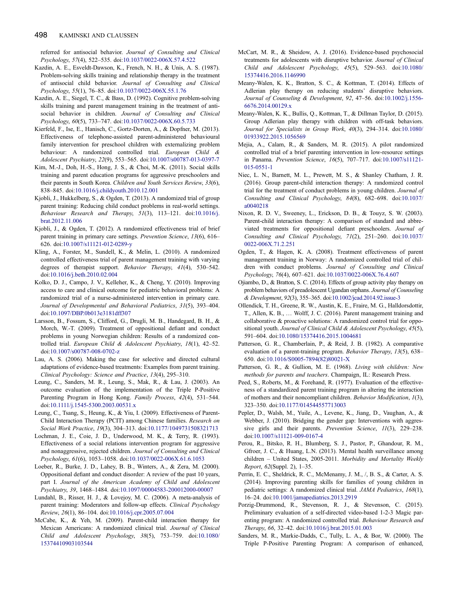<span id="page-22-0"></span>referred for antisocial behavior. Journal of Consulting and Clinical Psychology, 57(4), 522–535. doi:[10.1037/0022-006X.57.4.522](http://dx.doi.org/10.1037/0022-006X.57.4.522)

- Kazdin, A. E., Esveldt-Dawson, K., French, N. H., & Unis, A. S. (1987). Problem-solving skills training and relationship therapy in the treatment of antisocial child behavior. Journal of Consulting and Clinical Psychology, 55(1), 76–85. doi:[10.1037/0022-006X.55.1.76](http://dx.doi.org/10.1037/0022-006X.55.1.76)
- Kazdin, A. E., Siegel, T. C., & Bass, D. (1992). Cognitive problem-solving skills training and parent management training in the treatment of antisocial behavior in children. Journal of Consulting and Clinical Psychology, 60(5), 733–747. doi:[10.1037/0022-006X.60.5.733](http://dx.doi.org/10.1037/0022-006X.60.5.733)
- Kierfeld, F., Ise, E., Hanisch, C., Gortz-Dorten, A., & Dopfner, M. (2013). Effectiveness of telephone-assisted parent-administered behavioural family intervention for preschool children with externalizing problem behaviour: A randomized controlled trial. European Child & Adolescent Psychiatry, 22(9), 553–565. doi[:10.1007/s00787-013-0397-7](http://dx.doi.org/10.1007/s00787-013-0397-7)
- Kim, M.-J., Doh, H.-S., Hong, J. S., & Choi, M.-K. (2011). Social skills training and parent education programs for aggressive preschoolers and their parents in South Korea. Children and Youth Services Review, 33(6), 838–845. doi:[10.1016/j.childyouth.2010.12.001](http://dx.doi.org/10.1016/j.childyouth.2010.12.001)
- Kjobli, J., Hukkelberg, S., & Ogden, T. (2013). A randomized trial of group parent training: Reducing child conduct problems in real-world settings. Behaviour Research and Therapy, 51(3), 113–121. doi:[10.1016/j.](http://dx.doi.org/10.1016/j.brat.2012.11.006) [brat.2012.11.006](http://dx.doi.org/10.1016/j.brat.2012.11.006)
- Kjobli, J., & Ogden, T. (2012). A randomized effectiveness trial of brief parent training in primary care settings. Prevention Science, 13(6), 616– 626. doi:[10.1007/s11121-012-0289-y](http://dx.doi.org/10.1007/s11121-012-0289-y)
- Kling, A., Forster, M., Sundell, K., & Melin, L. (2010). A randomized controlled effectiveness trial of parent management training with varying degrees of therapist support. Behavior Therapy, 41(4), 530–542. doi[:10.1016/j.beth.2010.02.004](http://dx.doi.org/10.1016/j.beth.2010.02.004)
- Kolko, D. J., Campo, J. V., Kelleher, K., & Cheng, Y. (2010). Improving access to care and clinical outcome for pediatric behavioral problems: A randomized trial of a nurse-administered intervention in primary care. Journal of Developmental and Behavioral Pediatrics, 31(5), 393–404. doi[:10.1097/DBP.0b013e3181dff307](http://dx.doi.org/10.1097/DBP.0b013e3181dff307)
- Larsson, B., Fossum, S., Clifford, G., Drugli, M. B., Handegard, B. H., & Morch, W.-T. (2009). Treatment of oppositional defiant and conduct problems in young Norwegian children: Results of a randomized controlled trial. European Child & Adolescent Psychiatry, 18(1), 42–52. doi[:10.1007/s00787-008-0702-z](http://dx.doi.org/10.1007/s00787-008-0702-z)
- Lau, A. S. (2006). Making the case for selective and directed cultural adaptations of evidence-based treatments: Examples from parent training. Clinical Psychology: Science and Practice, 13(4), 295–310.
- Leung, C., Sanders, M. R., Leung, S., Mak, R., & Lau, J. (2003). An outcome evaluation of the implementation of the Triple P-Positive Parenting Program in Hong Kong. Family Process, 42(4), 531–544. doi[:10.1111/j.1545-5300.2003.00531.x](http://dx.doi.org/10.1111/j.1545-5300.2003.00531.x)
- Leung, C., Tsang, S., Heung, K., & Yiu, I. (2009). Effectiveness of Parent-Child Interaction Therapy (PCIT) among Chinese families. Research on Social Work Practice, 19(3), 304–313. doi:[10.1177/1049731508321713](http://dx.doi.org/10.1177/1049731508321713)
- Lochman, J. E., Coie, J. D., Underwood, M. K., & Terry, R. (1993). Effectiveness of a social relations intervention program for aggressive and nonaggressive, rejected children. Journal of Consulting and Clinical Psychology, 61(6), 1053–1058. doi:[10.1037/0022-006X.61.6.1053](http://dx.doi.org/10.1037/0022-006X.61.6.1053)
- Loeber, R., Burke, J. D., Lahey, B. B., Winters, A., & Zera, M. (2000). Oppositional defiant and conduct disorder: A review of the past 10 years, part I. Journal of the American Academy of Child and Adolescent Psychiatry, 39, 1468–1484. doi:[10.1097/00004583-200012000-00007](http://dx.doi.org/10.1097/00004583-200012000-00007)
- Lundahl, B., Risser, H. J., & Lovejoy, M. C. (2006). A meta-analysis of parent training: Moderators and follow-up effects. Clinical Psychology Review, 26(1), 86–104. doi:[10.1016/j.cpr.2005.07.004](http://dx.doi.org/10.1016/j.cpr.2005.07.004)
- McCabe, K., & Yeh, M. (2009). Parent-child interaction therapy for Mexican Americans: A randomized clinical trial. Journal of Clinical Child and Adolescent Psychology, 38(5), 753–759. doi:[10.1080/](http://dx.doi.org/10.1080/15374410903103544) [15374410903103544](http://dx.doi.org/10.1080/15374410903103544)
- McCart, M. R., & Sheidow, A. J. (2016). Evidence-based psychosocial treatments for adolescents with disruptive behavior. Journal of Clinical Child and Adolescent Psychology, 45(5), 529–563. doi:[10.1080/](http://dx.doi.org/10.1080/15374416.2016.1146990) [15374416.2016.1146990](http://dx.doi.org/10.1080/15374416.2016.1146990)
- Meany-Walen, K. K., Bratton, S. C., & Kottman, T. (2014). Effects of Adlerian play therapy on reducing students' disruptive behaviors. Journal of Counseling & Development, 92, 47–56. doi[:10.1002/j.1556-](http://dx.doi.org/10.1002/j.1556-6676.2014.00129.x) [6676.2014.00129.x](http://dx.doi.org/10.1002/j.1556-6676.2014.00129.x)
- Meany-Walen, K. K., Bullis, Q., Kottman, T., & Dillman Taylor, D. (2015). Group Adlerian play therapy with children with off-task behaviors. Journal for Specialists in Group Work, 40(3), 294–314. doi:[10.1080/](http://dx.doi.org/10.1080/01933922.2015.1056569) [01933922.2015.1056569](http://dx.doi.org/10.1080/01933922.2015.1056569)
- Mejia, A., Calam, R., & Sanders, M. R. (2015). A pilot randomized controlled trial of a brief parenting intervention in low-resource settings in Panama. Prevention Science, 16(5), 707–717. doi:[10.1007/s11121-](http://dx.doi.org/10.1007/s11121-015-0551-1) [015-0551-1](http://dx.doi.org/10.1007/s11121-015-0551-1)
- Niec, L. N., Barnett, M. L., Prewett, M. S., & Shanley Chatham, J. R. (2016). Group parent-child interaction therapy: A randomized control trial for the treatment of conduct problems in young children. Journal of Consulting and Clinical Psychology, 84(8), 682–698. doi:[10.1037/](http://dx.doi.org/10.1037/a0040218) [a0040218](http://dx.doi.org/10.1037/a0040218)
- Nixon, R. D. V., Sweeney, L., Erickson, D. B., & Touyz, S. W. (2003). Parent-child interaction therapy: A comparison of standard and abbreviated treatments for oppositional defiant preschoolers. Journal of Consulting and Clinical Psychology, 71(2), 251–260. doi:[10.1037/](http://dx.doi.org/10.1037/0022-006X.71.2.251) [0022-006X.71.2.251](http://dx.doi.org/10.1037/0022-006X.71.2.251)
- Ogden, T., & Hagen, K. A. (2008). Treatment effectiveness of parent management training in Norway: A randomized controlled trial of children with conduct problems. Journal of Consulting and Clinical Psychology, 76(4), 607–621. doi:[10.1037/0022-006X.76.4.607](http://dx.doi.org/10.1037/0022-006X.76.4.607)
- Ojiambo, D., & Bratton, S. C. (2014). Effects of group activity play therapy on problem behaviors of preadolescent Ugandan orphans. Journal of Counseling & Development, 92(3), 355–365. doi:[10.1002/jcad.2014.92.issue-3](http://dx.doi.org/10.1002/jcad.2014.92.issue-3)
- Ollendick, T. H., Greene, R. W., Austin, K. E., Fraire, M. G., Halldorsdottir, T., Allen, K. B., … Wolff, J. C. (2016). Parent management training and collaborative & proactive solutions: A randomized control trial for oppositional youth. Journal of Clinical Child & Adolescent Psychology, 45(5), 591–604. doi[:10.1080/15374416.2015.1004681](http://dx.doi.org/10.1080/15374416.2015.1004681)
- Patterson, G. R., Chamberlain, P., & Reid, J. B. (1982). A comparative evaluation of a parent-training program. Behavior Therapy, 13(5), 638-650. doi:[10.1016/S0005-7894\(82\)80021-X](http://dx.doi.org/10.1016/S0005-7894(82)80021-X)
- Patterson, G. R., & Gullion, M. E. (1968). Living with children: New methods for parents and teachers. Champaign, IL: Research Press.
- Peed, S., Roberts, M., & Forehand, R. (1977). Evaluation of the effectiveness of a standardized parent training program in altering the interaction of mothers and their noncompliant children. Behavior Modification, 1(3), 323–350. doi[:10.1177/014544557713003](http://dx.doi.org/10.1177/014544557713003)
- Pepler, D., Walsh, M., Yuile, A., Levene, K., Jiang, D., Vaughan, A., & Webber, J. (2010). Bridging the gender gap: Interventions with aggressive girls and their parents. Prevention Science, 11(3), 229-238. doi[:10.1007/s11121-009-0167-4](http://dx.doi.org/10.1007/s11121-009-0167-4)
- Perou, R., Bitsko, R. H., Blumberg, S. J., Pastor, P., Ghandour, R. M., Gfroer, J. C., & Huang, L.N. (2013). Mental health surveillance among children – United States, 2005-2011. Morbidity and Mortality Weekly Report, 62(Suppl. 2), 1–35.
- Perrin, E. C., Sheldrick, R. C., McMenamy, J. M., /, B. S., & Carter, A. S. (2014). Improving parenting skills for families of young children in pediatric settings: A randomized clinical trial. JAMA Pediatrics, 168(1), 16–24. doi:[10.1001/jamapediatrics.2013.2919](http://dx.doi.org/10.1001/jamapediatrics.2013.2919)
- Porzig-Drummond, R., Stevenson, R. J., & Stevenson, C. (2015). Preliminary evaluation of a self-directed video-based 1-2-3 Magic parenting program: A randomized controlled trial. Behaviour Research and Therapy, 66, 32–42. doi:[10.1016/j.brat.2015.01.003](http://dx.doi.org/10.1016/j.brat.2015.01.003)
- Sanders, M. R., Markie-Dadds, C., Tully, L. A., & Bor, W. (2000). The Triple P-Positive Parenting Program: A comparison of enhanced,